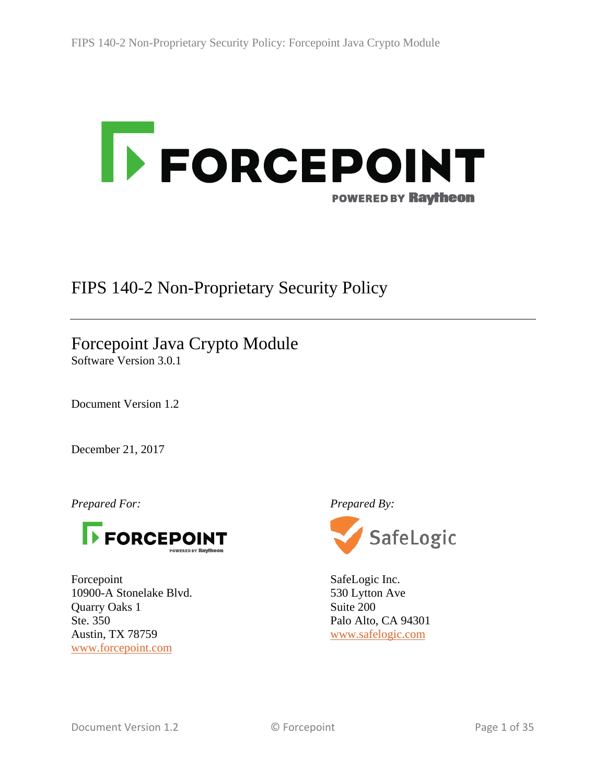

# FIPS 140-2 Non-Proprietary Security Policy

# Forcepoint Java Crypto Module

Software Version 3.0.1

Document Version 1.2

December 21, 2017

*Prepared For: Prepared By:*



Forcepoint 10900-A Stonelake Blvd. Quarry Oaks 1 Ste. 350 Austin, TX 78759 [www.forcepoint.com](https://www.forcepoint.com/)



SafeLogic Inc. 530 Lytton Ave Suite 200 Palo Alto, CA 94301 [www.safelogic.com](https://www.safelogic.com/)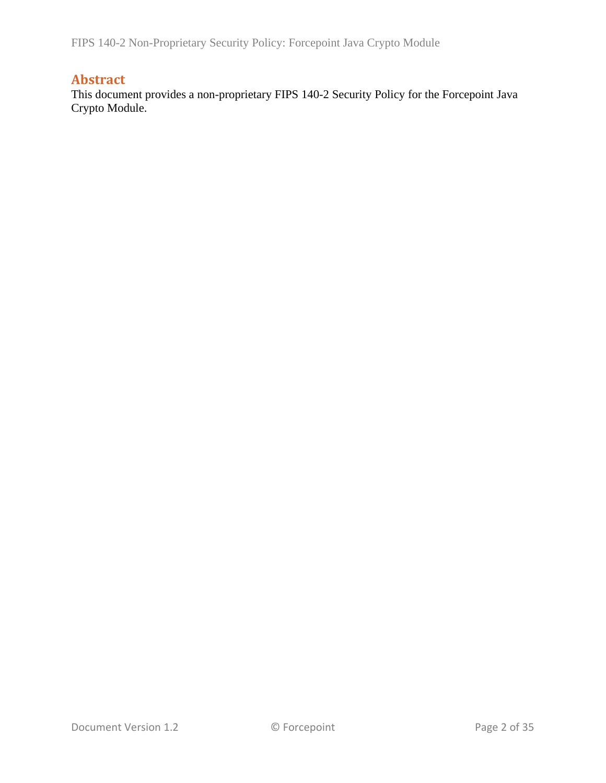FIPS 140-2 Non-Proprietary Security Policy: Forcepoint Java Crypto Module

## **Abstract**

This document provides a non-proprietary FIPS 140-2 Security Policy for the Forcepoint Java Crypto Module.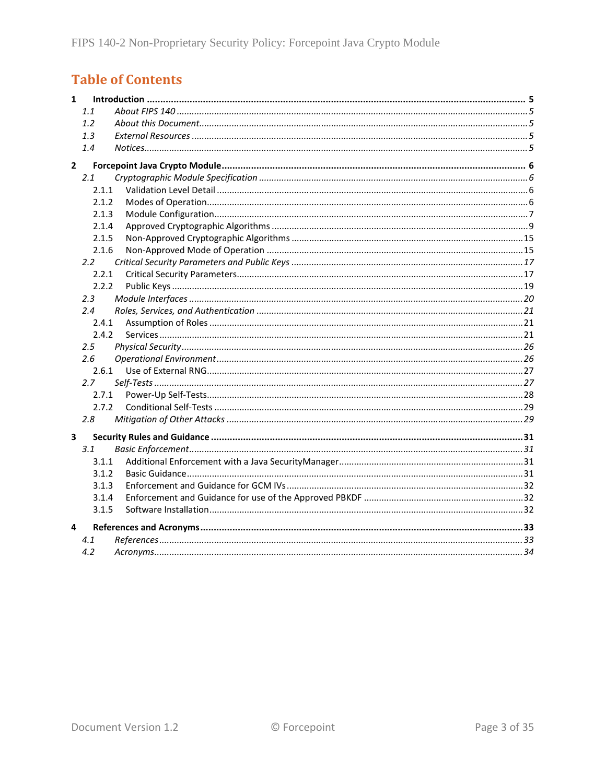# **Table of Contents**

| $\mathbf{1}$ |               |  |
|--------------|---------------|--|
|              | 1.1           |  |
|              | 1.2           |  |
|              | 1.3           |  |
|              | 1.4           |  |
| $\mathbf{2}$ |               |  |
|              | 2.1           |  |
|              | 2.1.1         |  |
|              | 2.1.2         |  |
|              | 2.1.3         |  |
|              | 2.1.4         |  |
|              | 2.1.5         |  |
|              | 2.1.6         |  |
|              | $2.2^{\circ}$ |  |
|              | 2.2.1         |  |
|              | 2.2.2         |  |
|              | 2.3           |  |
|              | 2.4           |  |
|              | 2.4.1         |  |
|              | 2.4.2         |  |
|              | 2.5           |  |
|              | 2.6           |  |
|              | 2.6.1         |  |
|              | 2.7           |  |
|              | 2.7.1         |  |
|              | 2.7.2         |  |
|              | 2.8           |  |
| 3            |               |  |
|              | 3.1           |  |
|              | 3.1.1         |  |
|              | 3.1.2         |  |
|              | 3.1.3         |  |
|              | 3.1.4         |  |
|              | 3.1.5         |  |
| 4            |               |  |
|              | 4.1           |  |
|              | 4.2           |  |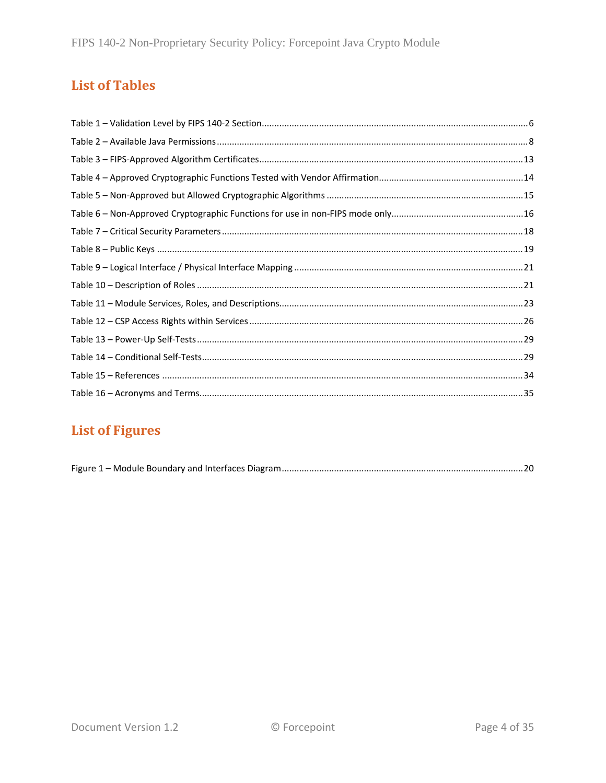# **List of Tables**

# **List of Figures**

|--|--|--|--|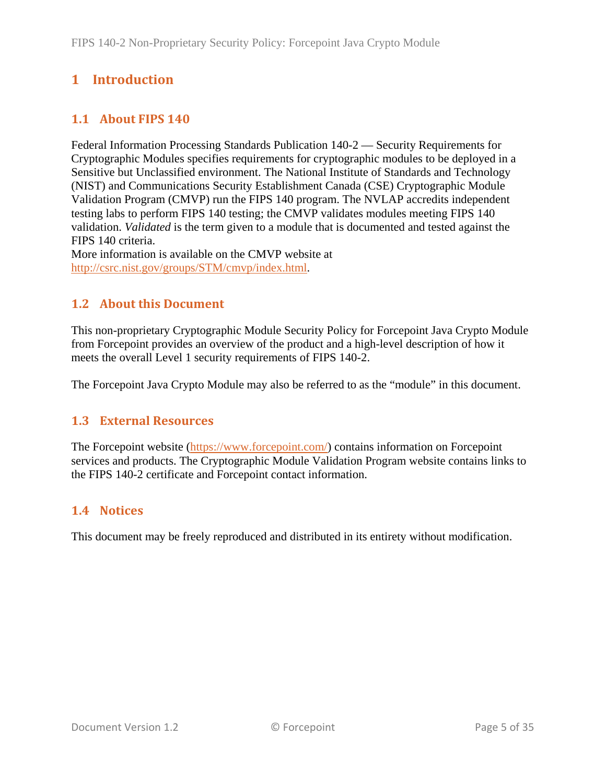# <span id="page-4-0"></span>**1 Introduction**

## <span id="page-4-1"></span>**1.1 About FIPS 140**

Federal Information Processing Standards Publication 140-2 — Security Requirements for Cryptographic Modules specifies requirements for cryptographic modules to be deployed in a Sensitive but Unclassified environment. The National Institute of Standards and Technology (NIST) and Communications Security Establishment Canada (CSE) Cryptographic Module Validation Program (CMVP) run the FIPS 140 program. The NVLAP accredits independent testing labs to perform FIPS 140 testing; the CMVP validates modules meeting FIPS 140 validation. *Validated* is the term given to a module that is documented and tested against the FIPS 140 criteria.

More information is available on the CMVP website at [http://csrc.nist.gov/groups/STM/cmvp/index.html.](http://csrc.nist.gov/groups/STM/cmvp/index.html)

## <span id="page-4-2"></span>**1.2 About this Document**

This non-proprietary Cryptographic Module Security Policy for Forcepoint Java Crypto Module from Forcepoint provides an overview of the product and a high-level description of how it meets the overall Level 1 security requirements of FIPS 140-2.

<span id="page-4-3"></span>The Forcepoint Java Crypto Module may also be referred to as the "module" in this document.

### **1.3 External Resources**

The Forcepoint website [\(https://www.forcepoint.com/\)](https://www.forcepoint.com/) contains information on Forcepoint services and products. The Cryptographic Module Validation Program website contains links to the FIPS 140-2 certificate and Forcepoint contact information.

### <span id="page-4-4"></span>**1.4 Notices**

This document may be freely reproduced and distributed in its entirety without modification.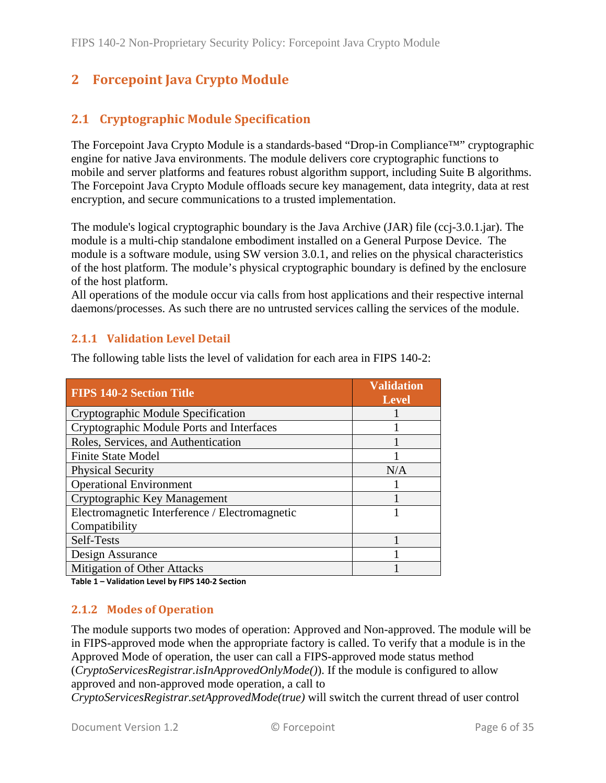# <span id="page-5-0"></span>**2 Forcepoint Java Crypto Module**

## <span id="page-5-1"></span>**2.1 Cryptographic Module Specification**

The Forcepoint Java Crypto Module is a standards-based "Drop-in Compliance™" cryptographic engine for native Java environments. The module delivers core cryptographic functions to mobile and server platforms and features robust algorithm support, including Suite B algorithms. The Forcepoint Java Crypto Module offloads secure key management, data integrity, data at rest encryption, and secure communications to a trusted implementation.

The module's logical cryptographic boundary is the Java Archive (JAR) file (ccj-3.0.1.jar). The module is a multi-chip standalone embodiment installed on a General Purpose Device. The module is a software module, using SW version 3.0.1, and relies on the physical characteristics of the host platform. The module's physical cryptographic boundary is defined by the enclosure of the host platform.

All operations of the module occur via calls from host applications and their respective internal daemons/processes. As such there are no untrusted services calling the services of the module.

#### <span id="page-5-2"></span>**2.1.1 Validation Level Detail**

The following table lists the level of validation for each area in FIPS 140-2:

| <b>FIPS 140-2 Section Title</b>                | <b>Validation</b><br><b>Level</b> |
|------------------------------------------------|-----------------------------------|
| Cryptographic Module Specification             |                                   |
| Cryptographic Module Ports and Interfaces      |                                   |
| Roles, Services, and Authentication            |                                   |
| <b>Finite State Model</b>                      |                                   |
| <b>Physical Security</b>                       | N/A                               |
| <b>Operational Environment</b>                 |                                   |
| Cryptographic Key Management                   |                                   |
| Electromagnetic Interference / Electromagnetic |                                   |
| Compatibility                                  |                                   |
| Self-Tests                                     |                                   |
| Design Assurance                               |                                   |
| Mitigation of Other Attacks                    |                                   |

<span id="page-5-3"></span>**Table 1 – Validation Level by FIPS 140-2 Section**

#### **2.1.2 Modes of Operation**

The module supports two modes of operation: Approved and Non-approved. The module will be in FIPS-approved mode when the appropriate factory is called. To verify that a module is in the Approved Mode of operation, the user can call a FIPS-approved mode status method (*CryptoServicesRegistrar.isInApprovedOnlyMode()*). If the module is configured to allow approved and non-approved mode operation, a call to

*CryptoServicesRegistrar.setApprovedMode(true)* will switch the current thread of user control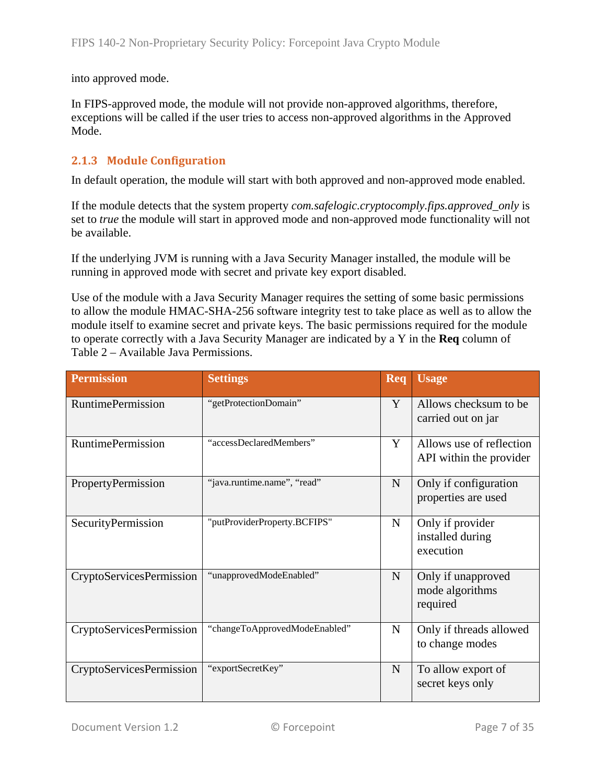into approved mode.

In FIPS-approved mode, the module will not provide non-approved algorithms, therefore, exceptions will be called if the user tries to access non-approved algorithms in the Approved Mode.

#### <span id="page-6-0"></span>**2.1.3 Module Configuration**

In default operation, the module will start with both approved and non-approved mode enabled.

If the module detects that the system property *com.safelogic.cryptocomply.fips.approved\_only* is set to *true* the module will start in approved mode and non-approved mode functionality will not be available.

If the underlying JVM is running with a Java Security Manager installed, the module will be running in approved mode with secret and private key export disabled.

Use of the module with a Java Security Manager requires the setting of some basic permissions to allow the module HMAC-SHA-256 software integrity test to take place as well as to allow the module itself to examine secret and private keys. The basic permissions required for the module to operate correctly with a Java Security Manager are indicated by a Y in the **Req** column of Table 2 – [Available Java Permissions.](#page-7-0)

| <b>Permission</b>               | <b>Settings</b>               | Req         | <b>Usage</b>                                        |
|---------------------------------|-------------------------------|-------------|-----------------------------------------------------|
| <b>RuntimePermission</b>        | "getProtectionDomain"         | Y           | Allows checksum to be<br>carried out on jar         |
| <b>RuntimePermission</b>        | "accessDeclaredMembers"       | Y           | Allows use of reflection<br>API within the provider |
| PropertyPermission              | "java.runtime.name", "read"   | $\mathbf N$ | Only if configuration<br>properties are used        |
| SecurityPermission              | "putProviderProperty.BCFIPS"  | $\mathbf N$ | Only if provider<br>installed during<br>execution   |
| <b>CryptoServicesPermission</b> | "unapprovedModeEnabled"       | $\mathbf N$ | Only if unapproved<br>mode algorithms<br>required   |
| CryptoServicesPermission        | "changeToApprovedModeEnabled" | $\mathbf N$ | Only if threads allowed<br>to change modes          |
| <b>CryptoServicesPermission</b> | "exportSecretKey"             | $\mathbf N$ | To allow export of<br>secret keys only              |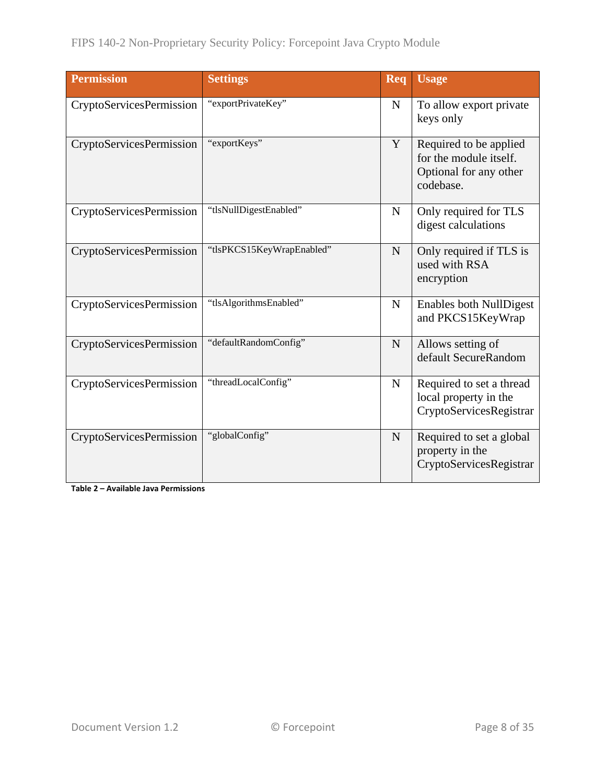| <b>Permission</b>               | <b>Settings</b>           | Req         | <b>Usage</b>                                                                            |
|---------------------------------|---------------------------|-------------|-----------------------------------------------------------------------------------------|
| <b>CryptoServicesPermission</b> | "exportPrivateKey"        | $\mathbf N$ | To allow export private<br>keys only                                                    |
| <b>CryptoServicesPermission</b> | "exportKeys"              | Y           | Required to be applied<br>for the module itself.<br>Optional for any other<br>codebase. |
| <b>CryptoServicesPermission</b> | "tlsNullDigestEnabled"    | $\mathbf N$ | Only required for TLS<br>digest calculations                                            |
| <b>CryptoServicesPermission</b> | "tlsPKCS15KeyWrapEnabled" | $\mathbf N$ | Only required if TLS is<br>used with RSA<br>encryption                                  |
| <b>CryptoServicesPermission</b> | "tlsAlgorithmsEnabled"    | $\mathbf N$ | <b>Enables both NullDigest</b><br>and PKCS15KeyWrap                                     |
| <b>CryptoServicesPermission</b> | "defaultRandomConfig"     | $\mathbf N$ | Allows setting of<br>default SecureRandom                                               |
| <b>CryptoServicesPermission</b> | "threadLocalConfig"       | $\mathbf N$ | Required to set a thread<br>local property in the<br>CryptoServicesRegistrar            |
| <b>CryptoServicesPermission</b> | "globalConfig"            | N           | Required to set a global<br>property in the<br>CryptoServicesRegistrar                  |

<span id="page-7-0"></span>**Table 2 – Available Java Permissions**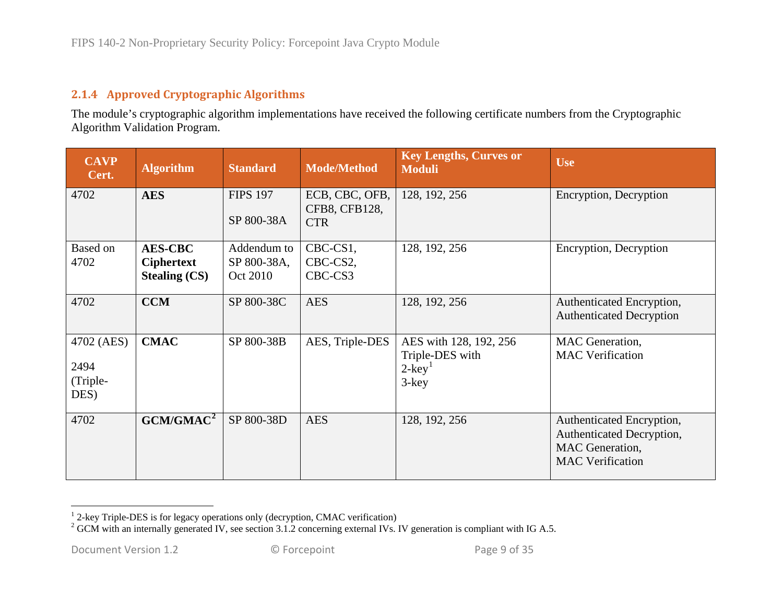## <span id="page-8-2"></span><span id="page-8-1"></span>**2.1.4 Approved Cryptographic Algorithms**

The module's cryptographic algorithm implementations have received the following certificate numbers from the Cryptographic Algorithm Validation Program.

<span id="page-8-0"></span>

| <b>CAVP</b><br>Cert.                   | <b>Algorithm</b>                                            | <b>Standard</b>                        | <b>Mode/Method</b>                            | <b>Key Lengths, Curves or</b><br><b>Moduli</b>                                 | <b>Use</b>                                                                                                  |
|----------------------------------------|-------------------------------------------------------------|----------------------------------------|-----------------------------------------------|--------------------------------------------------------------------------------|-------------------------------------------------------------------------------------------------------------|
| 4702                                   | <b>AES</b>                                                  | <b>FIPS 197</b><br>SP 800-38A          | ECB, CBC, OFB,<br>CFB8, CFB128,<br><b>CTR</b> | 128, 192, 256                                                                  | Encryption, Decryption                                                                                      |
| <b>Based on</b><br>4702                | <b>AES-CBC</b><br><b>Ciphertext</b><br><b>Stealing (CS)</b> | Addendum to<br>SP 800-38A,<br>Oct 2010 | CBC-CS1,<br>CBC-CS2,<br>CBC-CS3               | 128, 192, 256                                                                  | Encryption, Decryption                                                                                      |
| 4702                                   | <b>CCM</b>                                                  | SP 800-38C                             | <b>AES</b>                                    | 128, 192, 256                                                                  | Authenticated Encryption,<br><b>Authenticated Decryption</b>                                                |
| 4702 (AES)<br>2494<br>(Triple-<br>DES) | <b>CMAC</b>                                                 | SP 800-38B                             | AES, Triple-DES                               | AES with 128, 192, 256<br>Triple-DES with<br>$2$ -key <sup>1</sup><br>$3$ -key | MAC Generation,<br><b>MAC</b> Verification                                                                  |
| 4702                                   | GCM/GMAC <sup>2</sup>                                       | SP 800-38D                             | <b>AES</b>                                    | 128, 192, 256                                                                  | Authenticated Encryption,<br>Authenticated Decryption,<br><b>MAC</b> Generation,<br><b>MAC</b> Verification |

<sup>&</sup>lt;sup>1</sup> 2-key Triple-DES is for legacy operations only (decryption, CMAC verification) <sup>2</sup> GCM with an internally generated IV, see section [3.1.2](#page-30-4) concerning external IVs. IV generation is compliant with IG A.5.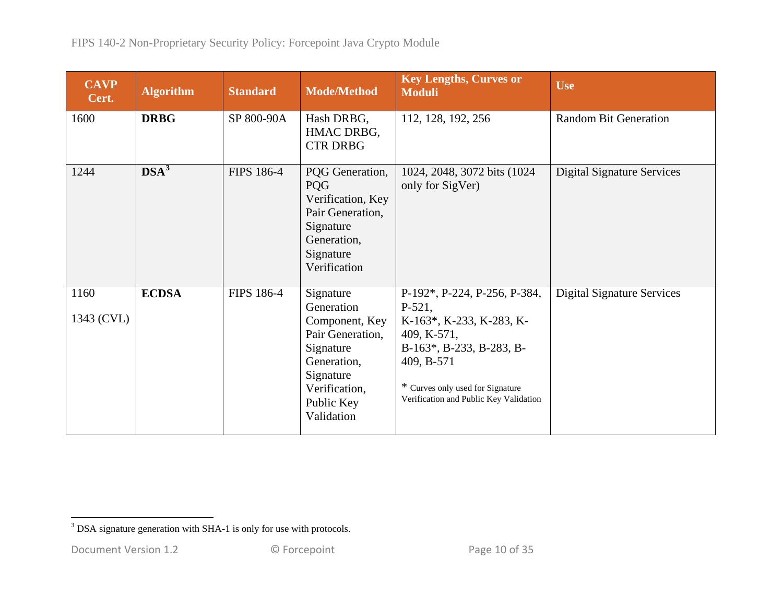<span id="page-9-0"></span>

| <b>CAVP</b><br>Cert. | <b>Algorithm</b> | <b>Standard</b>   | <b>Mode/Method</b>                                                                                                                                  | <b>Key Lengths, Curves or</b><br><b>Moduli</b>                                                                                                                                                              | <b>Use</b>                        |
|----------------------|------------------|-------------------|-----------------------------------------------------------------------------------------------------------------------------------------------------|-------------------------------------------------------------------------------------------------------------------------------------------------------------------------------------------------------------|-----------------------------------|
| 1600                 | <b>DRBG</b>      | SP 800-90A        | Hash DRBG,<br>HMAC DRBG,<br><b>CTR DRBG</b>                                                                                                         | 112, 128, 192, 256                                                                                                                                                                                          | <b>Random Bit Generation</b>      |
| 1244                 | DSA <sup>3</sup> | <b>FIPS 186-4</b> | PQG Generation,<br>PQG<br>Verification, Key<br>Pair Generation,<br>Signature<br>Generation,<br>Signature<br>Verification                            | 1024, 2048, 3072 bits (1024)<br>only for SigVer)                                                                                                                                                            | <b>Digital Signature Services</b> |
| 1160<br>1343 (CVL)   | <b>ECDSA</b>     | <b>FIPS 186-4</b> | Signature<br>Generation<br>Component, Key<br>Pair Generation,<br>Signature<br>Generation,<br>Signature<br>Verification,<br>Public Key<br>Validation | P-192*, P-224, P-256, P-384,<br>$P-521,$<br>K-163*, K-233, K-283, K-<br>409, K-571,<br>B-163*, B-233, B-283, B-<br>409, B-571<br>* Curves only used for Signature<br>Verification and Public Key Validation | <b>Digital Signature Services</b> |

<sup>&</sup>lt;sup>3</sup> DSA signature generation with SHA-1 is only for use with protocols.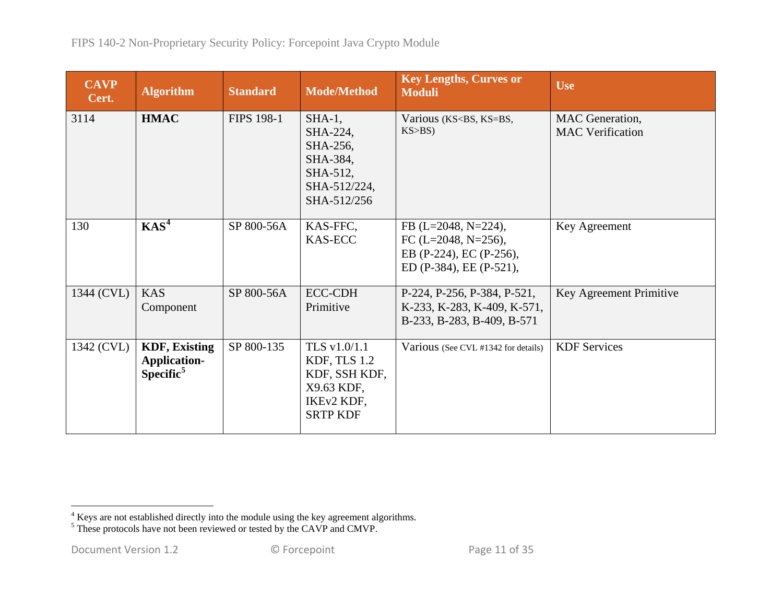<span id="page-10-1"></span><span id="page-10-0"></span>

| <b>CAVP</b><br>Cert. | <b>Algorithm</b>                                                     | <b>Standard</b>   | <b>Mode/Method</b>                                                                           | <b>Key Lengths, Curves or</b><br><b>Moduli</b>                                                         | <b>Use</b>                                        |
|----------------------|----------------------------------------------------------------------|-------------------|----------------------------------------------------------------------------------------------|--------------------------------------------------------------------------------------------------------|---------------------------------------------------|
| 3114                 | <b>HMAC</b>                                                          | <b>FIPS 198-1</b> | $SHA-1$ ,<br>SHA-224,<br>SHA-256,<br>SHA-384,<br>SHA-512,<br>SHA-512/224,<br>SHA-512/256     | Various (KS <bs, ks="BS,&lt;br">KS&gt;BS</bs,>                                                         | <b>MAC</b> Generation,<br><b>MAC</b> Verification |
| 130                  | KAS <sup>4</sup>                                                     | SP 800-56A        | KAS-FFC,<br><b>KAS-ECC</b>                                                                   | FB $(L=2048, N=224)$ ,<br>FC $(L=2048, N=256)$ ,<br>EB (P-224), EC (P-256),<br>ED (P-384), EE (P-521), | Key Agreement                                     |
| 1344 (CVL)           | <b>KAS</b><br>Component                                              | SP 800-56A        | <b>ECC-CDH</b><br>Primitive                                                                  | P-224, P-256, P-384, P-521,<br>K-233, K-283, K-409, K-571,<br>B-233, B-283, B-409, B-571               | Key Agreement Primitive                           |
| 1342 (CVL)           | <b>KDF, Existing</b><br><b>Application-</b><br>Specific <sup>5</sup> | SP 800-135        | TLS v1.0/1.1<br>KDF, TLS 1.2<br>KDF, SSH KDF,<br>X9.63 KDF,<br>IKEv2 KDF,<br><b>SRTP KDF</b> | Various (See CVL #1342 for details)                                                                    | <b>KDF</b> Services                               |

<sup>&</sup>lt;sup>4</sup> Keys are not established directly into the module using the key agreement algorithms.

<sup>&</sup>lt;sup>5</sup> These protocols have not been reviewed or tested by the CAVP and CMVP.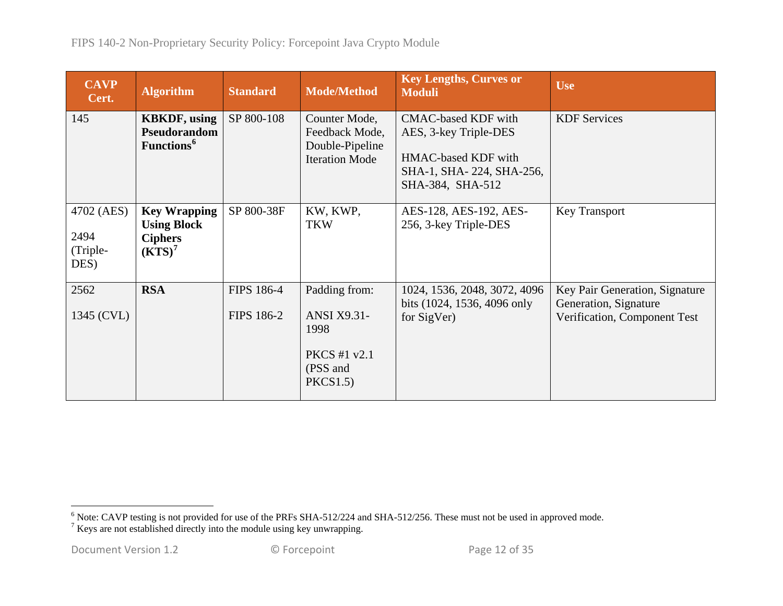<span id="page-11-1"></span><span id="page-11-0"></span>

| <b>CAVP</b><br>Cert.                   | <b>Algorithm</b>                                                                  | <b>Standard</b>                        | <b>Mode/Method</b>                                                                        | <b>Key Lengths, Curves or</b><br><b>Moduli</b>                                                                             | <b>Use</b>                                                                              |
|----------------------------------------|-----------------------------------------------------------------------------------|----------------------------------------|-------------------------------------------------------------------------------------------|----------------------------------------------------------------------------------------------------------------------------|-----------------------------------------------------------------------------------------|
| 145                                    | <b>KBKDF</b> , using<br>Pseudorandom<br>Functions <sup>6</sup>                    | SP 800-108                             | Counter Mode,<br>Feedback Mode,<br>Double-Pipeline<br><b>Iteration Mode</b>               | <b>CMAC-based KDF with</b><br>AES, 3-key Triple-DES<br>HMAC-based KDF with<br>SHA-1, SHA-224, SHA-256,<br>SHA-384, SHA-512 | <b>KDF</b> Services                                                                     |
| 4702 (AES)<br>2494<br>(Triple-<br>DES) | <b>Key Wrapping</b><br><b>Using Block</b><br><b>Ciphers</b><br>(KTS) <sup>7</sup> | SP 800-38F                             | KW, KWP,<br><b>TKW</b>                                                                    | AES-128, AES-192, AES-<br>256, 3-key Triple-DES                                                                            | Key Transport                                                                           |
| 2562<br>1345 (CVL)                     | <b>RSA</b>                                                                        | <b>FIPS 186-4</b><br><b>FIPS 186-2</b> | Padding from:<br><b>ANSI X9.31-</b><br>1998<br><b>PKCS</b> #1 v2.1<br>(PSS and<br>PKCS1.5 | 1024, 1536, 2048, 3072, 4096<br>bits (1024, 1536, 4096 only<br>for SigVer)                                                 | Key Pair Generation, Signature<br>Generation, Signature<br>Verification, Component Test |

<sup>&</sup>lt;sup>6</sup> Note: CAVP testing is not provided for use of the PRFs SHA-512/224 and SHA-512/256. These must not be used in approved mode. <sup>7</sup> Keys are not established directly into the module using key unwrapping.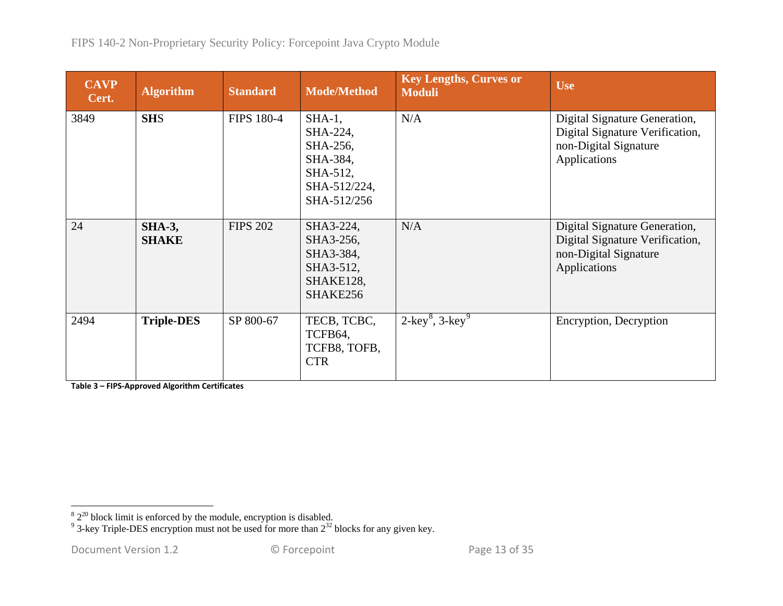<span id="page-12-1"></span><span id="page-12-0"></span>

| <b>CAVP</b><br>Cert. | <b>Algorithm</b>              | <b>Standard</b>   | <b>Mode/Method</b>                                                                       | <b>Key Lengths, Curves or</b><br><b>Moduli</b> | <b>Use</b>                                                                                                |
|----------------------|-------------------------------|-------------------|------------------------------------------------------------------------------------------|------------------------------------------------|-----------------------------------------------------------------------------------------------------------|
| 3849                 | <b>SHS</b>                    | <b>FIPS 180-4</b> | $SHA-1$ ,<br>SHA-224,<br>SHA-256,<br>SHA-384,<br>SHA-512,<br>SHA-512/224,<br>SHA-512/256 | N/A                                            | Digital Signature Generation,<br>Digital Signature Verification,<br>non-Digital Signature<br>Applications |
| 24                   | <b>SHA-3,</b><br><b>SHAKE</b> | <b>FIPS 202</b>   | SHA3-224,<br>SHA3-256,<br>SHA3-384,<br>SHA3-512,<br>SHAKE128,<br>SHAKE256                | N/A                                            | Digital Signature Generation,<br>Digital Signature Verification,<br>non-Digital Signature<br>Applications |
| 2494                 | <b>Triple-DES</b>             | SP 800-67         | TECB, TCBC,<br>TCFB64,<br>TCFB8, TOFB,<br><b>CTR</b>                                     | $2$ -key <sup>8</sup> , 3-key <sup>9</sup>     | Encryption, Decryption                                                                                    |

**Table 3 – FIPS-Approved Algorithm Certificates**

 $82^{20}$  block limit is enforced by the module, encryption is disabled.<br><sup>9</sup> 3-key Triple-DES encryption must not be used for more than  $2^{32}$  blocks for any given key.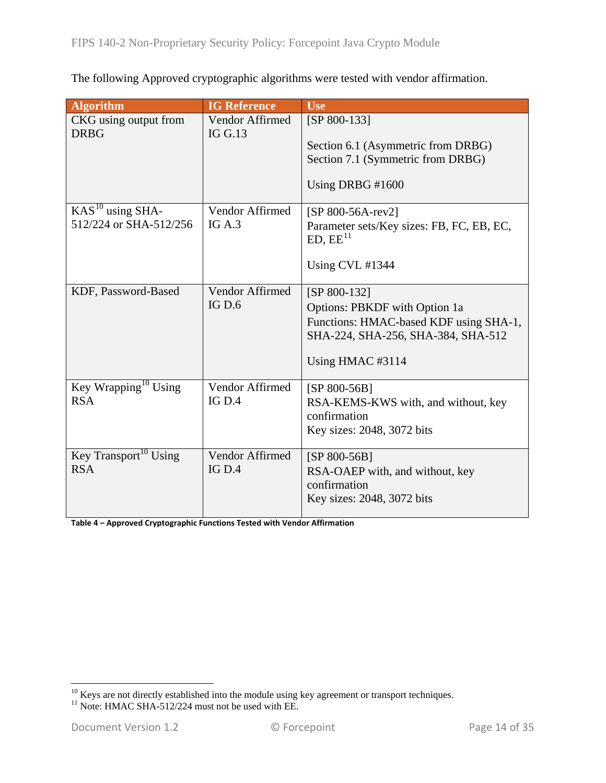The following Approved cryptographic algorithms were tested with vendor affirmation.

<span id="page-13-0"></span>

| <b>Algorithm</b>                     | <b>IG Reference</b>          | <b>Use</b>                                                                   |
|--------------------------------------|------------------------------|------------------------------------------------------------------------------|
| CKG using output from<br><b>DRBG</b> | Vendor Affirmed<br>IG $G.13$ | [SP 800-133]                                                                 |
|                                      |                              | Section 6.1 (Asymmetric from DRBG)                                           |
|                                      |                              | Section 7.1 (Symmetric from DRBG)                                            |
|                                      |                              | Using DRBG #1600                                                             |
| $KAS10$ using SHA-                   | Vendor Affirmed              | [SP 800-56A-rev2]                                                            |
| 512/224 or SHA-512/256               | IG $A.3$                     | Parameter sets/Key sizes: FB, FC, EB, EC,<br>ED, EE <sup>11</sup>            |
|                                      |                              | Using CVL #1344                                                              |
| KDF, Password-Based                  | Vendor Affirmed              | [SP 800-132]                                                                 |
|                                      | IGD.6                        | Options: PBKDF with Option 1a                                                |
|                                      |                              | Functions: HMAC-based KDF using SHA-1,<br>SHA-224, SHA-256, SHA-384, SHA-512 |
|                                      |                              | Using HMAC #3114                                                             |
| Key Wrapping <sup>10</sup> Using     | Vendor Affirmed              | $[SP 800-56B]$                                                               |
| <b>RSA</b>                           | IG D.4                       | RSA-KEMS-KWS with, and without, key<br>confirmation                          |
|                                      |                              | Key sizes: 2048, 3072 bits                                                   |
| Key Transport <sup>10</sup> Using    | Vendor Affirmed              | $[SP 800-56B]$                                                               |
| <b>RSA</b>                           | IG D.4                       | RSA-OAEP with, and without, key                                              |
|                                      |                              | confirmation                                                                 |
|                                      |                              | Key sizes: 2048, 3072 bits                                                   |

**Table 4 – Approved Cryptographic Functions Tested with Vendor Affirmation**

<span id="page-13-2"></span><span id="page-13-1"></span><sup>&</sup>lt;sup>10</sup> Keys are not directly established into the module using key agreement or transport techniques. <sup>11</sup> Note: HMAC SHA-512/224 must not be used with EE.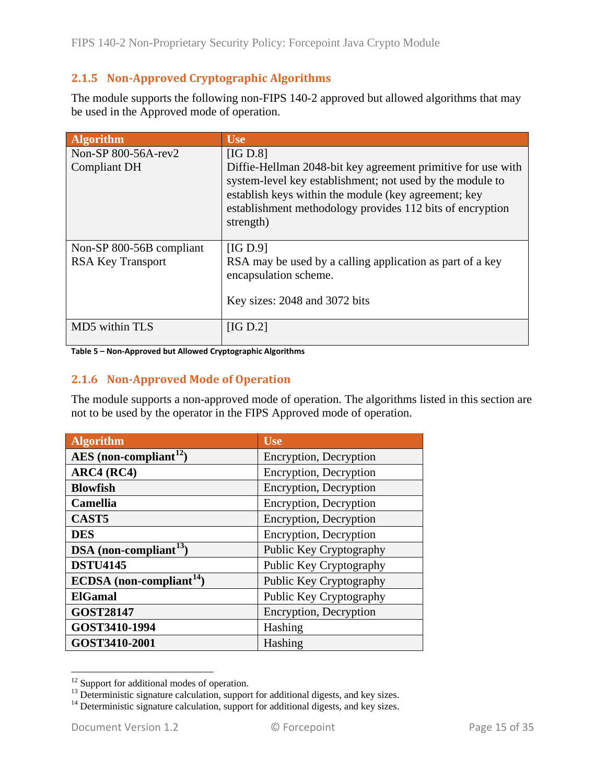## <span id="page-14-0"></span>**2.1.5 Non-Approved Cryptographic Algorithms**

The module supports the following non-FIPS 140-2 approved but allowed algorithms that may be used in the Approved mode of operation.

| <b>Algorithm</b>         | <b>Use</b>                                                                                                                                                                                                                                                  |
|--------------------------|-------------------------------------------------------------------------------------------------------------------------------------------------------------------------------------------------------------------------------------------------------------|
| Non-SP 800-56A-rev2      | [IG D.8]                                                                                                                                                                                                                                                    |
| <b>Compliant DH</b>      | Diffie-Hellman 2048-bit key agreement primitive for use with<br>system-level key establishment; not used by the module to<br>establish keys within the module (key agreement; key<br>establishment methodology provides 112 bits of encryption<br>strength) |
| Non-SP 800-56B compliant | [IG D.9]                                                                                                                                                                                                                                                    |
| <b>RSA Key Transport</b> | RSA may be used by a calling application as part of a key<br>encapsulation scheme.                                                                                                                                                                          |
|                          | Key sizes: 2048 and 3072 bits                                                                                                                                                                                                                               |
| MD5 within TLS           | [IG D.2]                                                                                                                                                                                                                                                    |

<span id="page-14-1"></span>**Table 5 – Non-Approved but Allowed Cryptographic Algorithms**

#### **2.1.6 Non-Approved Mode of Operation**

The module supports a non-approved mode of operation. The algorithms listed in this section are not to be used by the operator in the FIPS Approved mode of operation.

| <b>Algorithm</b>                   | <b>Use</b>              |
|------------------------------------|-------------------------|
| AES (non-compliant <sup>12</sup> ) | Encryption, Decryption  |
| ARC4 (RC4)                         | Encryption, Decryption  |
| <b>Blowfish</b>                    | Encryption, Decryption  |
| <b>Camellia</b>                    | Encryption, Decryption  |
| CAST <sub>5</sub>                  | Encryption, Decryption  |
| <b>DES</b>                         | Encryption, Decryption  |
| DSA (non-compliant $^{13}$ )       | Public Key Cryptography |
| <b>DSTU4145</b>                    | Public Key Cryptography |
| ECDSA (non-compliant $14$ )        | Public Key Cryptography |
| <b>ElGamal</b>                     | Public Key Cryptography |
| <b>GOST28147</b>                   | Encryption, Decryption  |
| GOST3410-1994                      | Hashing                 |
| GOST3410-2001                      | Hashing                 |

<span id="page-14-3"></span><span id="page-14-2"></span><sup>&</sup>lt;sup>12</sup> Support for additional modes of operation.<br><sup>13</sup> Deterministic signature calculation, support for additional digests, and key sizes.<br><sup>14</sup> Deterministic signature calculation, support for additional digests, and key si

<span id="page-14-4"></span>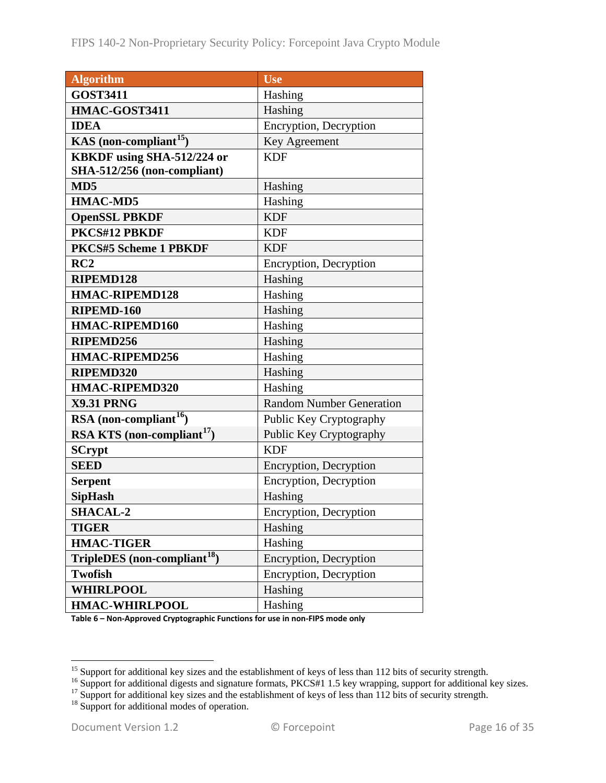| <b>Algorithm</b>                         | <b>Use</b>                      |
|------------------------------------------|---------------------------------|
| <b>GOST3411</b>                          | Hashing                         |
| HMAC-GOST3411                            | Hashing                         |
| <b>IDEA</b>                              | Encryption, Decryption          |
| KAS (non-compliant <sup>15</sup> )       | Key Agreement                   |
| KBKDF using SHA-512/224 or               | <b>KDF</b>                      |
| SHA-512/256 (non-compliant)              |                                 |
| MD <sub>5</sub>                          | Hashing                         |
| <b>HMAC-MD5</b>                          | Hashing                         |
| <b>OpenSSL PBKDF</b>                     | <b>KDF</b>                      |
| PKCS#12 PBKDF                            | <b>KDF</b>                      |
| PKCS#5 Scheme 1 PBKDF                    | <b>KDF</b>                      |
| RC2                                      | Encryption, Decryption          |
| RIPEMD128                                | Hashing                         |
| <b>HMAC-RIPEMD128</b>                    | Hashing                         |
| RIPEMD-160                               | Hashing                         |
| <b>HMAC-RIPEMD160</b>                    | Hashing                         |
| RIPEMD256                                | Hashing                         |
| <b>HMAC-RIPEMD256</b>                    | Hashing                         |
| RIPEMD320                                | Hashing                         |
| <b>HMAC-RIPEMD320</b>                    | Hashing                         |
| <b>X9.31 PRNG</b>                        | <b>Random Number Generation</b> |
| RSA (non-compliant <sup>16</sup> )       | Public Key Cryptography         |
| RSA KTS (non-compliant <sup>17</sup> )   | Public Key Cryptography         |
| <b>SCrypt</b>                            | <b>KDF</b>                      |
| <b>SEED</b>                              | Encryption, Decryption          |
| <b>Serpent</b>                           | Encryption, Decryption          |
| <b>SipHash</b>                           | Hashing                         |
| <b>SHACAL-2</b>                          | Encryption, Decryption          |
| <b>TIGER</b>                             | Hashing                         |
| <b>HMAC-TIGER</b>                        | Hashing                         |
| TripleDES (non-compliant <sup>18</sup> ) | Encryption, Decryption          |
| <b>Twofish</b>                           | Encryption, Decryption          |
| <b>WHIRLPOOL</b>                         | Hashing                         |
| <b>HMAC-WHIRLPOOL</b>                    | Hashing                         |

**Table 6 – Non-Approved Cryptographic Functions for use in non-FIPS mode only**

<span id="page-15-1"></span><span id="page-15-0"></span><sup>&</sup>lt;sup>15</sup> Support for additional key sizes and the establishment of keys of less than 112 bits of security strength.<br><sup>16</sup> Support for additional digests and signature formats, PKCS#1 1.5 key wrapping, support for additional ke

<span id="page-15-3"></span><span id="page-15-2"></span>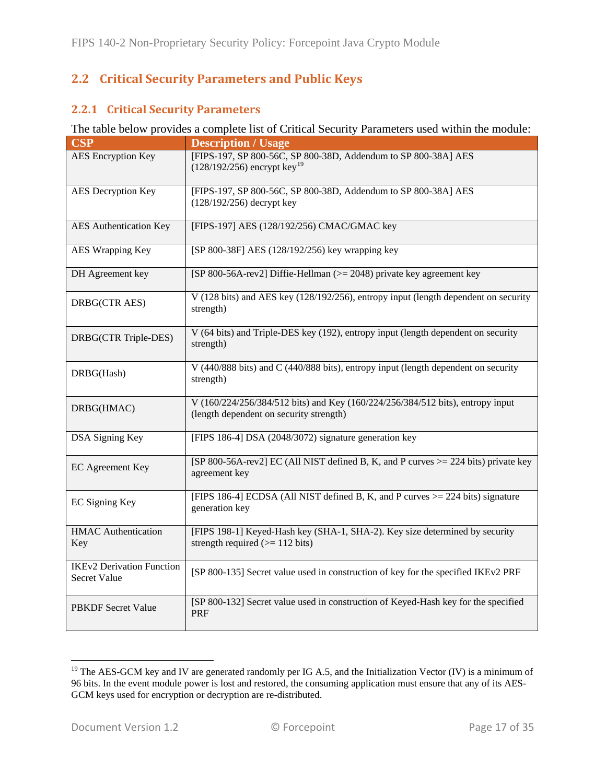## <span id="page-16-0"></span>**2.2 Critical Security Parameters and Public Keys**

#### <span id="page-16-1"></span>**2.2.1 Critical Security Parameters**

#### The table below provides a complete list of Critical Security Parameters used within the module:

| <b>CSP</b>                                       | <b>Description / Usage</b>                                                                                                |
|--------------------------------------------------|---------------------------------------------------------------------------------------------------------------------------|
| <b>AES</b> Encryption Key                        | [FIPS-197, SP 800-56C, SP 800-38D, Addendum to SP 800-38A] AES<br>$(128/192/256)$ encrypt key <sup>19</sup>               |
| <b>AES</b> Decryption Key                        | [FIPS-197, SP 800-56C, SP 800-38D, Addendum to SP 800-38A] AES<br>$(128/192/256)$ decrypt key                             |
| <b>AES</b> Authentication Key                    | [FIPS-197] AES (128/192/256) CMAC/GMAC key                                                                                |
| AES Wrapping Key                                 | [SP 800-38F] AES (128/192/256) key wrapping key                                                                           |
| DH Agreement key                                 | [SP 800-56A-rev2] Diffie-Hellman (>= 2048) private key agreement key                                                      |
| DRBG(CTR AES)                                    | V (128 bits) and AES key (128/192/256), entropy input (length dependent on security<br>strength)                          |
| DRBG(CTR Triple-DES)                             | V (64 bits) and Triple-DES key (192), entropy input (length dependent on security<br>strength)                            |
| DRBG(Hash)                                       | V (440/888 bits) and C (440/888 bits), entropy input (length dependent on security<br>strength)                           |
| DRBG(HMAC)                                       | V (160/224/256/384/512 bits) and Key (160/224/256/384/512 bits), entropy input<br>(length dependent on security strength) |
| <b>DSA Signing Key</b>                           | [FIPS 186-4] DSA (2048/3072) signature generation key                                                                     |
| EC Agreement Key                                 | [SP 800-56A-rev2] EC (All NIST defined B, K, and P curves $\ge$ 224 bits) private key<br>agreement key                    |
| EC Signing Key                                   | [FIPS 186-4] ECDSA (All NIST defined B, K, and P curves >= 224 bits) signature<br>generation key                          |
| <b>HMAC</b> Authentication<br>Key                | [FIPS 198-1] Keyed-Hash key (SHA-1, SHA-2). Key size determined by security<br>strength required $(>= 112 \text{ bits})$  |
| <b>IKEv2 Derivation Function</b><br>Secret Value | [SP 800-135] Secret value used in construction of key for the specified IKEv2 PRF                                         |
| <b>PBKDF</b> Secret Value                        | [SP 800-132] Secret value used in construction of Keyed-Hash key for the specified<br>PRF                                 |

<span id="page-16-2"></span><sup>&</sup>lt;sup>19</sup> The AES-GCM key and IV are generated randomly per IG A.5, and the Initialization Vector (IV) is a minimum of 96 bits. In the event module power is lost and restored, the consuming application must ensure that any of its AES-GCM keys used for encryption or decryption are re-distributed.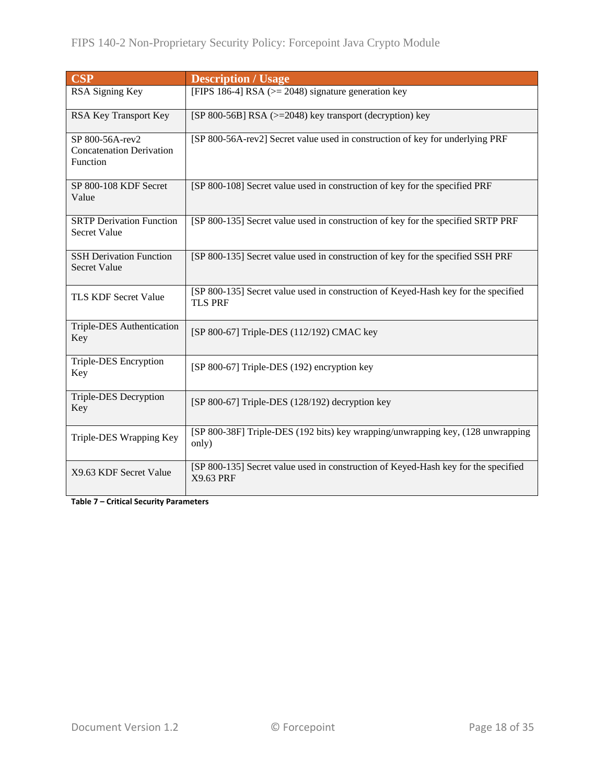| <b>CSP</b>                                                     | <b>Description / Usage</b>                                                                           |
|----------------------------------------------------------------|------------------------------------------------------------------------------------------------------|
| RSA Signing Key                                                | [FIPS 186-4] RSA ( $> = 2048$ ) signature generation key                                             |
| RSA Key Transport Key                                          | [SP 800-56B] RSA ( $> = 2048$ ) key transport (decryption) key                                       |
| SP 800-56A-rev2<br><b>Concatenation Derivation</b><br>Function | [SP 800-56A-rev2] Secret value used in construction of key for underlying PRF                        |
| SP 800-108 KDF Secret<br>Value                                 | [SP 800-108] Secret value used in construction of key for the specified PRF                          |
| <b>SRTP Derivation Function</b><br><b>Secret Value</b>         | [SP 800-135] Secret value used in construction of key for the specified SRTP PRF                     |
| <b>SSH Derivation Function</b><br><b>Secret Value</b>          | [SP 800-135] Secret value used in construction of key for the specified SSH PRF                      |
| TLS KDF Secret Value                                           | [SP 800-135] Secret value used in construction of Keyed-Hash key for the specified<br><b>TLS PRF</b> |
| Triple-DES Authentication<br>Key                               | [SP 800-67] Triple-DES (112/192) CMAC key                                                            |
| Triple-DES Encryption<br>Key                                   | [SP 800-67] Triple-DES (192) encryption key                                                          |
| Triple-DES Decryption<br>Key                                   | [SP 800-67] Triple-DES (128/192) decryption key                                                      |
| Triple-DES Wrapping Key                                        | [SP 800-38F] Triple-DES (192 bits) key wrapping/unwrapping key, (128 unwrapping<br>only)             |
| X9.63 KDF Secret Value                                         | [SP 800-135] Secret value used in construction of Keyed-Hash key for the specified<br>X9.63 PRF      |

**Table 7 – Critical Security Parameters**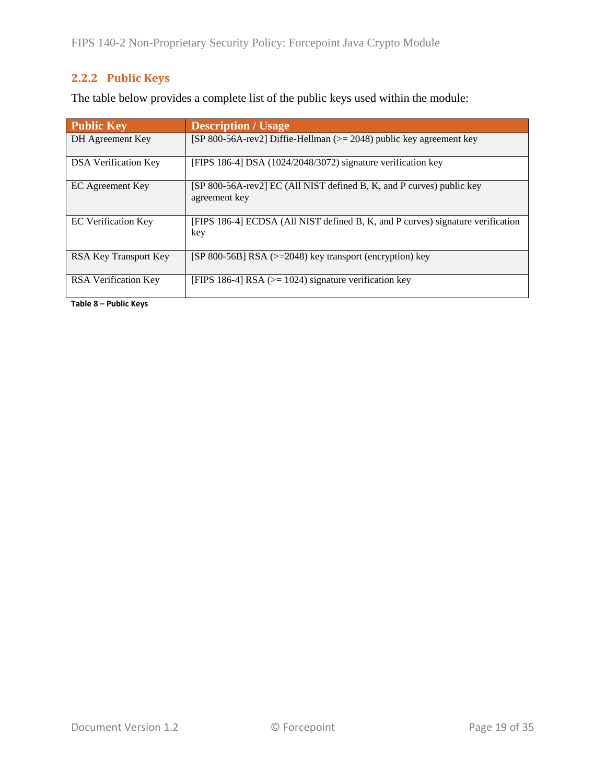## <span id="page-18-0"></span>**2.2.2 Public Keys**

The table below provides a complete list of the public keys used within the module:

| <b>Public Key</b>           | <b>Description / Usage</b>                                                             |
|-----------------------------|----------------------------------------------------------------------------------------|
| DH Agreement Key            | [SP 800-56A-rev2] Diffie-Hellman (>= 2048) public key agreement key                    |
| <b>DSA</b> Verification Key | [FIPS 186-4] DSA (1024/2048/3072) signature verification key                           |
| EC Agreement Key            | [SP 800-56A-rev2] EC (All NIST defined B, K, and P curves) public key<br>agreement key |
| <b>EC</b> Verification Key  | [FIPS 186-4] ECDSA (All NIST defined B, K, and P curves) signature verification<br>key |
| RSA Key Transport Key       | [SP 800-56B] RSA $\geq$ 2048) key transport (encryption) key                           |
| <b>RSA</b> Verification Key | [FIPS 186-4] RSA ( $> = 1024$ ) signature verification key                             |

**Table 8 – Public Keys**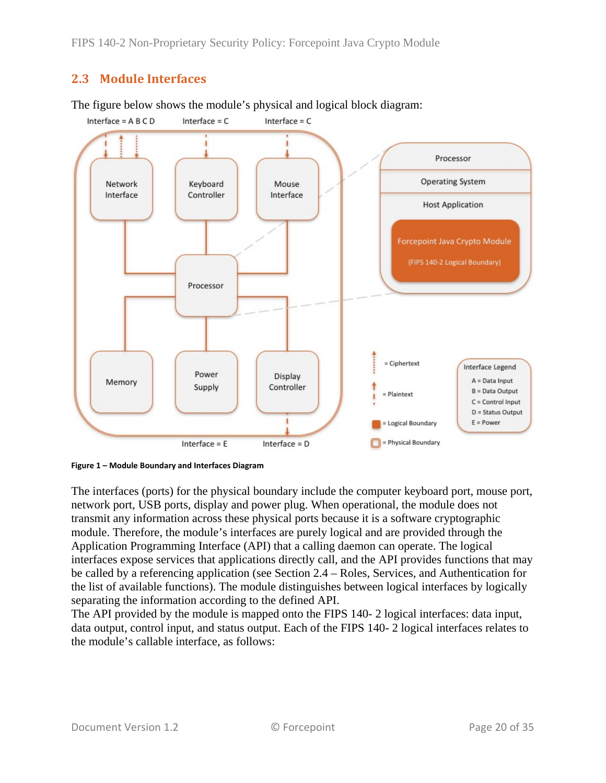## <span id="page-19-0"></span>**2.3 Module Interfaces**



The figure below shows the module's physical and logical block diagram:

<span id="page-19-1"></span>

The interfaces (ports) for the physical boundary include the computer keyboard port, mouse port, network port, USB ports, display and power plug. When operational, the module does not transmit any information across these physical ports because it is a software cryptographic module. Therefore, the module's interfaces are purely logical and are provided through the Application Programming Interface (API) that a calling daemon can operate. The logical interfaces expose services that applications directly call, and the API provides functions that may be called by a referencing application (see Section [2.4](#page-20-0) – [Roles, Services, and Authentication](#page-20-0) for the list of available functions). The module distinguishes between logical interfaces by logically separating the information according to the defined API.

The API provided by the module is mapped onto the FIPS 140- 2 logical interfaces: data input, data output, control input, and status output. Each of the FIPS 140- 2 logical interfaces relates to the module's callable interface, as follows: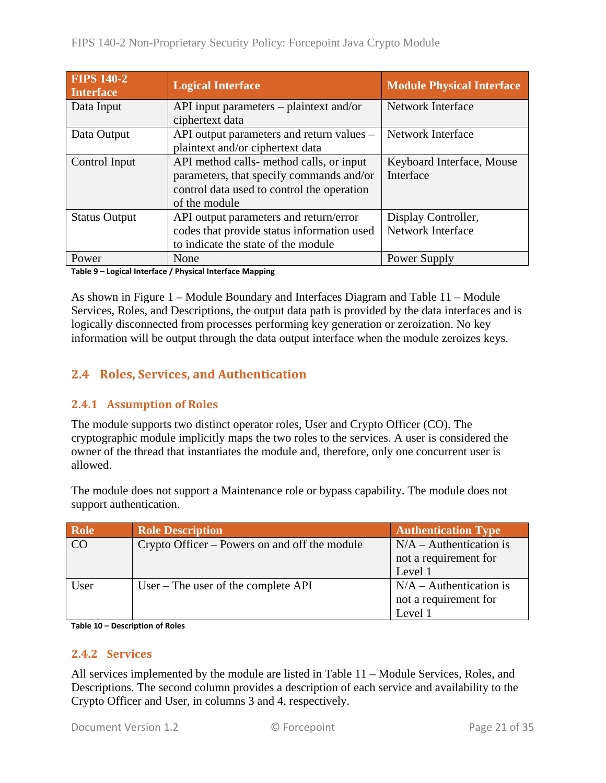| <b>FIPS 140-2</b><br><b>Interface</b> | <b>Logical Interface</b>                                                                                                                            | <b>Module Physical Interface</b>         |
|---------------------------------------|-----------------------------------------------------------------------------------------------------------------------------------------------------|------------------------------------------|
| Data Input                            | API input parameters $-$ plaintext and/or<br>ciphertext data                                                                                        | Network Interface                        |
| Data Output                           | API output parameters and return values –<br>plaintext and/or ciphertext data                                                                       | Network Interface                        |
| Control Input                         | API method calls- method calls, or input<br>parameters, that specify commands and/or<br>control data used to control the operation<br>of the module | Keyboard Interface, Mouse<br>Interface   |
| <b>Status Output</b>                  | API output parameters and return/error<br>codes that provide status information used<br>to indicate the state of the module                         | Display Controller,<br>Network Interface |
| Power                                 | None                                                                                                                                                | Power Supply                             |

**Table 9 – Logical Interface / Physical Interface Mapping**

As shown in Figure 1 – [Module Boundary and Interfaces Diagram](#page-19-1) and [Table 11](#page-22-0) – Module Services, Roles, [and Descriptions,](#page-22-0) the output data path is provided by the data interfaces and is logically disconnected from processes performing key generation or zeroization. No key information will be output through the data output interface when the module zeroizes keys.

## <span id="page-20-0"></span>**2.4 Roles, Services, and Authentication**

### <span id="page-20-1"></span>**2.4.1 Assumption of Roles**

The module supports two distinct operator roles, User and Crypto Officer (CO). The cryptographic module implicitly maps the two roles to the services. A user is considered the owner of the thread that instantiates the module and, therefore, only one concurrent user is allowed.

The module does not support a Maintenance role or bypass capability. The module does not support authentication.

| Role | <b>Role Description</b>                       | <b>Authentication Type</b> |
|------|-----------------------------------------------|----------------------------|
| CO   | Crypto Officer – Powers on and off the module | $N/A -$ Authentication is  |
|      |                                               | not a requirement for      |
|      |                                               | Level 1                    |
| User | User – The user of the complete $API$         | $N/A -$ Authentication is  |
|      |                                               | not a requirement for      |
|      |                                               | Level 1                    |

<span id="page-20-2"></span>**Table 10 – Description of Roles**

#### **2.4.2 Services**

All services implemented by the module are listed in Table 11 – Module [Services, Roles,](#page-22-0) and [Descriptions.](#page-22-0) The second column provides a description of each service and availability to the Crypto Officer and User, in columns 3 and 4, respectively.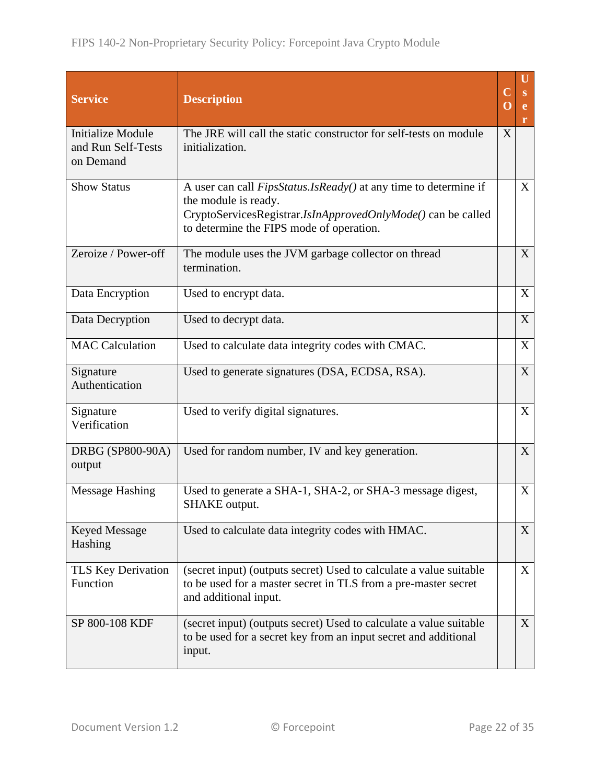| <b>Service</b>                                              | <b>Description</b>                                                                                                                                                                                          |   | U<br>S<br>r |
|-------------------------------------------------------------|-------------------------------------------------------------------------------------------------------------------------------------------------------------------------------------------------------------|---|-------------|
| <b>Initialize Module</b><br>and Run Self-Tests<br>on Demand | The JRE will call the static constructor for self-tests on module<br>initialization.                                                                                                                        | X |             |
| <b>Show Status</b>                                          | A user can call <i>FipsStatus.IsReady()</i> at any time to determine if<br>the module is ready.<br>CryptoServicesRegistrar.IsInApprovedOnlyMode() can be called<br>to determine the FIPS mode of operation. |   | X           |
| Zeroize / Power-off                                         | The module uses the JVM garbage collector on thread<br>termination.                                                                                                                                         |   | X           |
| Data Encryption                                             | Used to encrypt data.                                                                                                                                                                                       |   | X           |
| Data Decryption                                             | Used to decrypt data.                                                                                                                                                                                       |   | X           |
| <b>MAC Calculation</b>                                      | Used to calculate data integrity codes with CMAC.                                                                                                                                                           |   | X           |
| Signature<br>Authentication                                 | Used to generate signatures (DSA, ECDSA, RSA).                                                                                                                                                              |   | X           |
| Signature<br>Verification                                   | Used to verify digital signatures.                                                                                                                                                                          |   | X           |
| DRBG (SP800-90A)<br>output                                  | Used for random number, IV and key generation.                                                                                                                                                              |   | X           |
| <b>Message Hashing</b>                                      | Used to generate a SHA-1, SHA-2, or SHA-3 message digest,<br><b>SHAKE</b> output.                                                                                                                           |   | X           |
| <b>Keyed Message</b><br>Hashing                             | Used to calculate data integrity codes with HMAC.                                                                                                                                                           |   | X           |
| TLS Key Derivation<br>Function                              | (secret input) (outputs secret) Used to calculate a value suitable<br>to be used for a master secret in TLS from a pre-master secret<br>and additional input.                                               |   | X           |
| SP 800-108 KDF                                              | (secret input) (outputs secret) Used to calculate a value suitable<br>to be used for a secret key from an input secret and additional<br>input.                                                             |   | X           |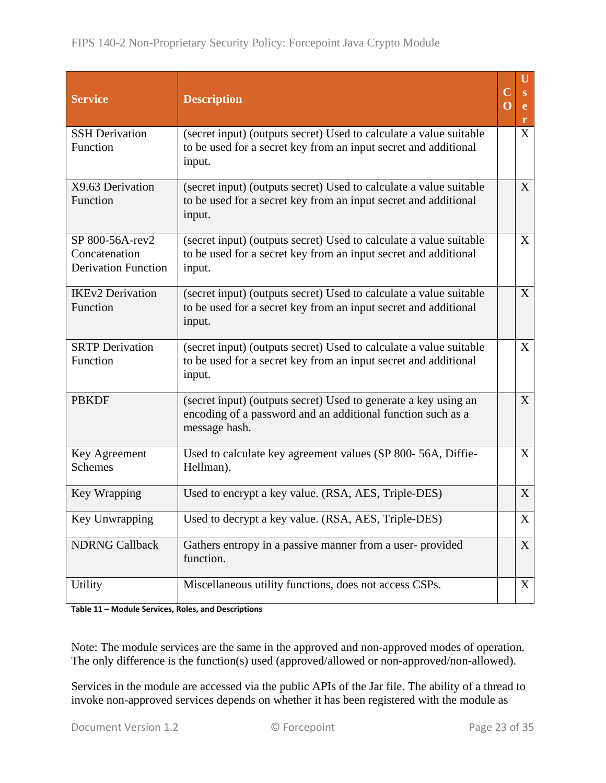| <b>Service</b>                                                 | <b>Description</b>                                                                                                                              | $\mathbf C$<br>O | U<br>S<br>e<br>r |
|----------------------------------------------------------------|-------------------------------------------------------------------------------------------------------------------------------------------------|------------------|------------------|
| <b>SSH</b> Derivation<br>Function                              | (secret input) (outputs secret) Used to calculate a value suitable<br>to be used for a secret key from an input secret and additional<br>input. |                  | $\overline{X}$   |
| X9.63 Derivation<br>Function                                   | (secret input) (outputs secret) Used to calculate a value suitable<br>to be used for a secret key from an input secret and additional<br>input. |                  | X                |
| SP 800-56A-rev2<br>Concatenation<br><b>Derivation Function</b> | (secret input) (outputs secret) Used to calculate a value suitable<br>to be used for a secret key from an input secret and additional<br>input. |                  | X                |
| <b>IKEv2 Derivation</b><br>Function                            | (secret input) (outputs secret) Used to calculate a value suitable<br>to be used for a secret key from an input secret and additional<br>input. |                  | $\mathbf{X}$     |
| <b>SRTP</b> Derivation<br>Function                             | (secret input) (outputs secret) Used to calculate a value suitable<br>to be used for a secret key from an input secret and additional<br>input. |                  | X                |
| <b>PBKDF</b>                                                   | (secret input) (outputs secret) Used to generate a key using an<br>encoding of a password and an additional function such as a<br>message hash. |                  | $\mathbf{X}$     |
| Key Agreement<br><b>Schemes</b>                                | Used to calculate key agreement values (SP 800-56A, Diffie-<br>Hellman).                                                                        |                  | X                |
| Key Wrapping                                                   | Used to encrypt a key value. (RSA, AES, Triple-DES)                                                                                             |                  | X                |
| Key Unwrapping                                                 | Used to decrypt a key value. (RSA, AES, Triple-DES)                                                                                             |                  | X                |
| <b>NDRNG Callback</b>                                          | Gathers entropy in a passive manner from a user-provided<br>function.                                                                           |                  | $\mathbf{X}$     |
| <b>Utility</b>                                                 | Miscellaneous utility functions, does not access CSPs.                                                                                          |                  | X                |

<span id="page-22-0"></span>**Table 11 – Module Services, Roles, and Descriptions**

Note: The module services are the same in the approved and non-approved modes of operation. The only difference is the function(s) used (approved/allowed or non-approved/non-allowed).

Services in the module are accessed via the public APIs of the Jar file. The ability of a thread to invoke non-approved services depends on whether it has been registered with the module as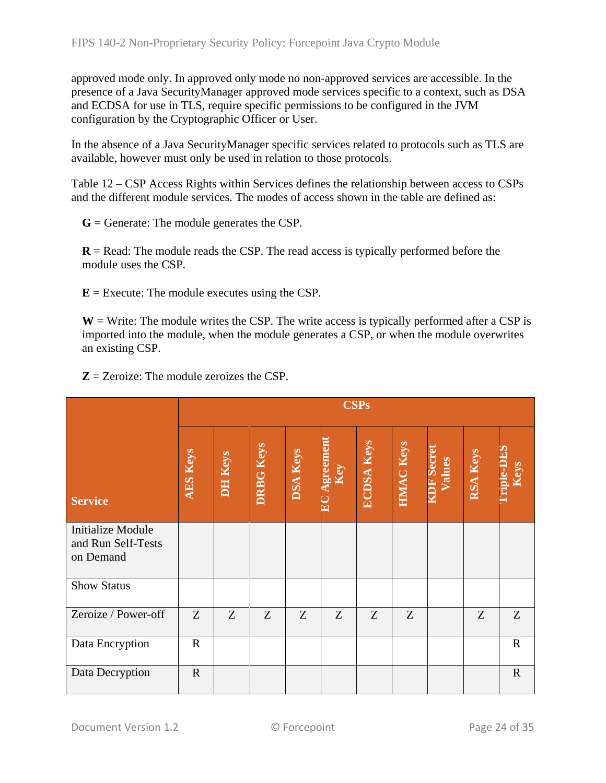approved mode only. In approved only mode no non-approved services are accessible. In the presence of a Java SecurityManager approved mode services specific to a context, such as DSA and ECDSA for use in TLS, require specific permissions to be configured in the JVM configuration by the Cryptographic Officer or User.

In the absence of a Java SecurityManager specific services related to protocols such as TLS are available, however must only be used in relation to those protocols.

Table 12 – [CSP Access Rights within Services](#page-25-2) defines the relationship between access to CSPs and the different module services. The modes of access shown in the table are defined as:

**G** = Generate: The module generates the CSP.

**R** = Read: The module reads the CSP. The read access is typically performed before the module uses the CSP.

 $E =$  Execute: The module executes using the CSP.

 $W = W$ rite: The module writes the CSP. The write access is typically performed after a CSP is imported into the module, when the module generates a CSP, or when the module overwrites an existing CSP.

|                                                             |                 | <b>CSPs</b>    |                  |                 |                        |                   |                  |                           |          |                           |
|-------------------------------------------------------------|-----------------|----------------|------------------|-----------------|------------------------|-------------------|------------------|---------------------------|----------|---------------------------|
| <b>Service</b>                                              | <b>AES Keys</b> | <b>DH Keys</b> | <b>DRBG Keys</b> | <b>DSA Keys</b> | <b>igreemer</b><br>Key | <b>ECDSA Keys</b> | <b>HMAC Keys</b> | <b>DF Secre</b><br>Values | RSA Keys | <b>Triple-DES</b><br>Keys |
| <b>Initialize Module</b><br>and Run Self-Tests<br>on Demand |                 |                |                  |                 |                        |                   |                  |                           |          |                           |
| <b>Show Status</b>                                          |                 |                |                  |                 |                        |                   |                  |                           |          |                           |
| Zeroize / Power-off                                         | Z               | Z              | Z                | Z               | Z                      | Z                 | Z                |                           | Z        | Z                         |
| Data Encryption                                             | $\mathbf R$     |                |                  |                 |                        |                   |                  |                           |          | $\mathbf R$               |
| Data Decryption                                             | $\mathbf R$     |                |                  |                 |                        |                   |                  |                           |          | $\mathbf R$               |

**Z** = Zeroize: The module zeroizes the CSP.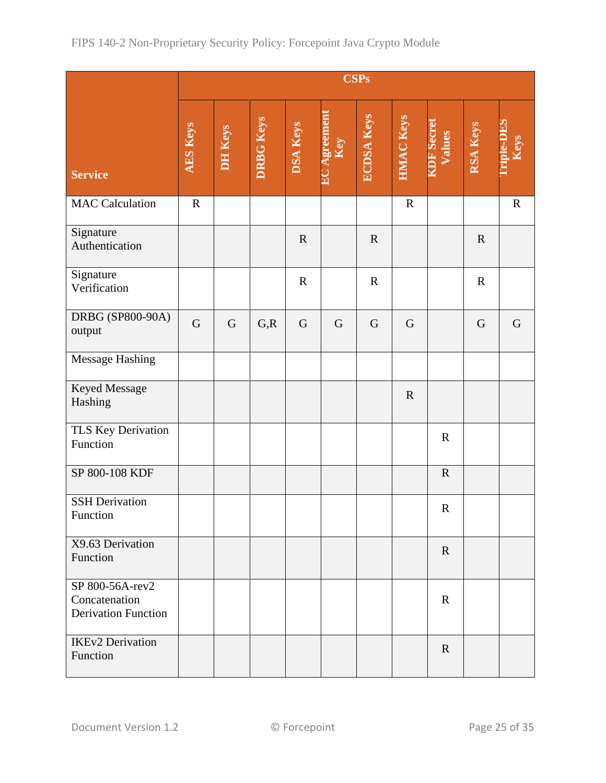|                                                                |                 | <b>CSPs</b>    |                  |                 |                  |                   |                  |                             |             |                           |
|----------------------------------------------------------------|-----------------|----------------|------------------|-----------------|------------------|-------------------|------------------|-----------------------------|-------------|---------------------------|
| <b>Service</b>                                                 | <b>AES Keys</b> | <b>DH Keys</b> | <b>DRBG Keys</b> | <b>DSA Keys</b> | Agreement<br>Key | <b>ECDSA Keys</b> | <b>HMAC Keys</b> | <b>KDF</b> Secret<br>Values | RSA Keys    | <b>Triple-DES</b><br>Keys |
| <b>MAC</b> Calculation                                         | $\mathbf R$     |                |                  |                 |                  |                   | $\mathbf R$      |                             |             | $\mathbf R$               |
| Signature<br>Authentication                                    |                 |                |                  | $\mathbf R$     |                  | $\mathbf R$       |                  |                             | $\mathbf R$ |                           |
| Signature<br>Verification                                      |                 |                |                  | $\mathbf R$     |                  | $\mathbf R$       |                  |                             | $\mathbf R$ |                           |
| DRBG (SP800-90A)<br>output                                     | $\overline{G}$  | G              | G, R             | $\mathbf G$     | $\mathbf G$      | $\mathbf G$       | $\mathbf G$      |                             | G           | G                         |
| <b>Message Hashing</b>                                         |                 |                |                  |                 |                  |                   |                  |                             |             |                           |
| Keyed Message<br>Hashing                                       |                 |                |                  |                 |                  |                   | $\mathbf R$      |                             |             |                           |
| TLS Key Derivation<br>Function                                 |                 |                |                  |                 |                  |                   |                  | $\mathbf R$                 |             |                           |
| SP 800-108 KDF                                                 |                 |                |                  |                 |                  |                   |                  | $\mathbf R$                 |             |                           |
| <b>SSH</b> Derivation<br>Function                              |                 |                |                  |                 |                  |                   |                  | ${\bf R}$                   |             |                           |
| X9.63 Derivation<br>Function                                   |                 |                |                  |                 |                  |                   |                  | $\mathbf R$                 |             |                           |
| SP 800-56A-rev2<br>Concatenation<br><b>Derivation Function</b> |                 |                |                  |                 |                  |                   |                  | $\mathbf R$                 |             |                           |
| <b>IKEv2</b> Derivation<br>Function                            |                 |                |                  |                 |                  |                   |                  | $\mathbf{R}$                |             |                           |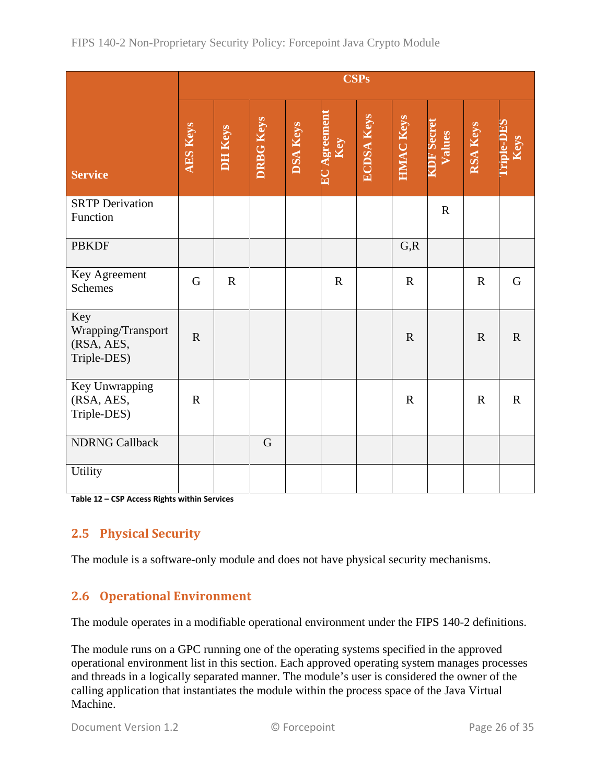|                                                        | <b>CSPs</b>     |             |             |          |             |                   |                  |                             |             |             |
|--------------------------------------------------------|-----------------|-------------|-------------|----------|-------------|-------------------|------------------|-----------------------------|-------------|-------------|
| <b>Service</b>                                         | <b>AES Keys</b> | DH Keys     | DRBG Keys   | DSA Keys |             | <b>ECDSA Keys</b> | <b>HMAC Keys</b> | <b>KDF</b> Secret<br>Values | RSA Keys    |             |
| <b>SRTP</b> Derivation<br>Function                     |                 |             |             |          |             |                   |                  | $\mathbf R$                 |             |             |
| <b>PBKDF</b>                                           |                 |             |             |          |             |                   | G, R             |                             |             |             |
| Key Agreement<br>Schemes                               | G               | $\mathbf R$ |             |          | $\mathbf R$ |                   | $\mathbf R$      |                             | $\mathbf R$ | G           |
| Key<br>Wrapping/Transport<br>(RSA, AES,<br>Triple-DES) | $\mathbf R$     |             |             |          |             |                   | $\mathbf R$      |                             | $\mathbf R$ | $\mathbf R$ |
| Key Unwrapping<br>(RSA, AES,<br>Triple-DES)            | $\mathbf R$     |             |             |          |             |                   | $\mathbf R$      |                             | $\mathbf R$ | ${\bf R}$   |
| <b>NDRNG Callback</b>                                  |                 |             | $\mathbf G$ |          |             |                   |                  |                             |             |             |
| <b>Utility</b>                                         |                 |             |             |          |             |                   |                  |                             |             |             |

<span id="page-25-2"></span><span id="page-25-0"></span>**Table 12 – CSP Access Rights within Services**

## **2.5 Physical Security**

<span id="page-25-1"></span>The module is a software-only module and does not have physical security mechanisms.

## **2.6 Operational Environment**

The module operates in a modifiable operational environment under the FIPS 140-2 definitions.

The module runs on a GPC running one of the operating systems specified in the approved operational environment list in this section. Each approved operating system manages processes and threads in a logically separated manner. The module's user is considered the owner of the calling application that instantiates the module within the process space of the Java Virtual Machine.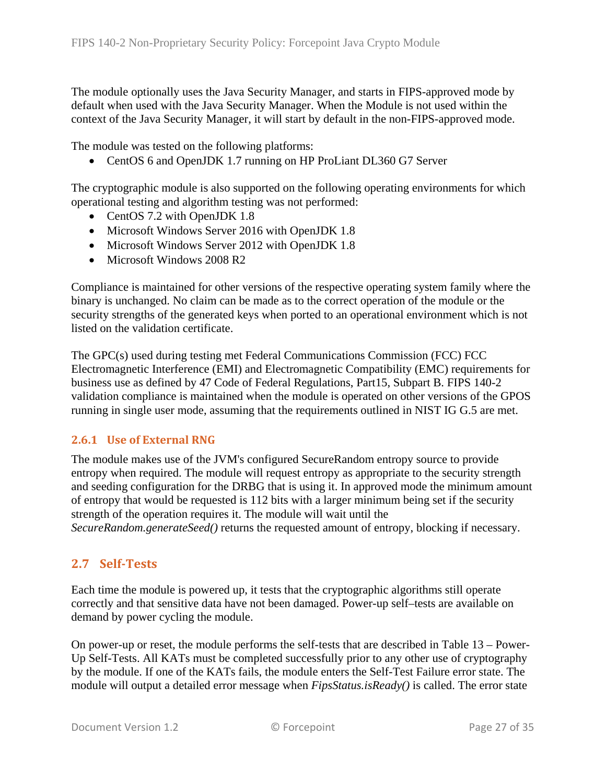The module optionally uses the Java Security Manager, and starts in FIPS-approved mode by default when used with the Java Security Manager. When the Module is not used within the context of the Java Security Manager, it will start by default in the non-FIPS-approved mode.

The module was tested on the following platforms:

• CentOS 6 and OpenJDK 1.7 running on HP ProLiant DL360 G7 Server

The cryptographic module is also supported on the following operating environments for which operational testing and algorithm testing was not performed:

- CentOS 7.2 with OpenJDK 1.8
- Microsoft Windows Server 2016 with OpenJDK 1.8
- Microsoft Windows Server 2012 with OpenJDK 1.8
- Microsoft Windows 2008 R2

Compliance is maintained for other versions of the respective operating system family where the binary is unchanged. No claim can be made as to the correct operation of the module or the security strengths of the generated keys when ported to an operational environment which is not listed on the validation certificate.

The GPC(s) used during testing met Federal Communications Commission (FCC) FCC Electromagnetic Interference (EMI) and Electromagnetic Compatibility (EMC) requirements for business use as defined by 47 Code of Federal Regulations, Part15, Subpart B. FIPS 140-2 validation compliance is maintained when the module is operated on other versions of the GPOS running in single user mode, assuming that the requirements outlined in NIST IG G.5 are met.

#### <span id="page-26-0"></span>**2.6.1 Use of External RNG**

The module makes use of the JVM's configured SecureRandom entropy source to provide entropy when required. The module will request entropy as appropriate to the security strength and seeding configuration for the DRBG that is using it. In approved mode the minimum amount of entropy that would be requested is 112 bits with a larger minimum being set if the security strength of the operation requires it. The module will wait until the *SecureRandom.generateSeed()* returns the requested amount of entropy, blocking if necessary.

#### <span id="page-26-1"></span>**2.7 Self-Tests**

Each time the module is powered up, it tests that the cryptographic algorithms still operate correctly and that sensitive data have not been damaged. Power-up self–tests are available on demand by power cycling the module.

On power-up or reset, the module performs the self-tests that are described in [Table 13](#page-28-2) – Power-[Up Self-Tests.](#page-28-2) All KATs must be completed successfully prior to any other use of cryptography by the module. If one of the KATs fails, the module enters the Self-Test Failure error state. The module will output a detailed error message when *FipsStatus.isReady()* is called. The error state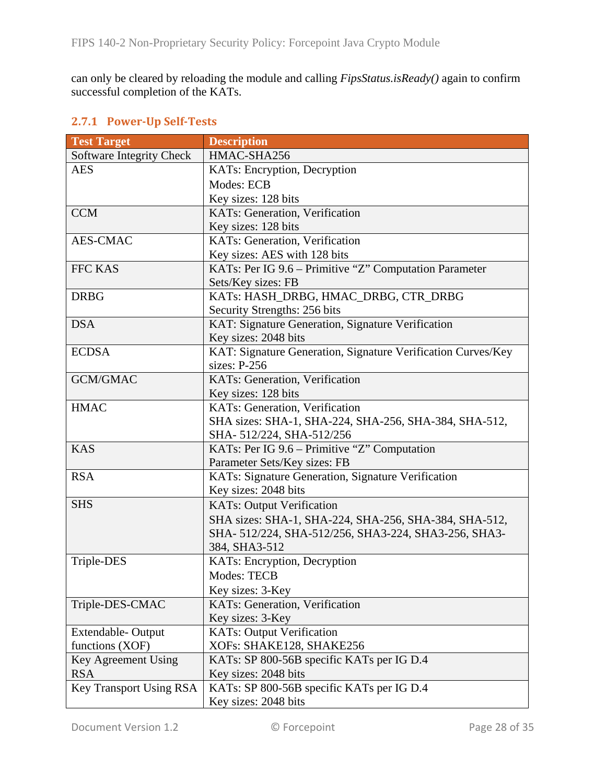can only be cleared by reloading the module and calling *FipsStatus.isReady()* again to confirm successful completion of the KATs.

### <span id="page-27-0"></span>**2.7.1 Power-Up Self-Tests**

| <b>Test Target</b>             | <b>Description</b>                                           |
|--------------------------------|--------------------------------------------------------------|
| Software Integrity Check       | HMAC-SHA256                                                  |
| <b>AES</b>                     | KATs: Encryption, Decryption                                 |
|                                | Modes: ECB                                                   |
|                                | Key sizes: 128 bits                                          |
| <b>CCM</b>                     | KATs: Generation, Verification                               |
|                                | Key sizes: 128 bits                                          |
| <b>AES-CMAC</b>                | KATs: Generation, Verification                               |
|                                | Key sizes: AES with 128 bits                                 |
| <b>FFC KAS</b>                 | KATs: Per IG 9.6 – Primitive "Z" Computation Parameter       |
|                                | Sets/Key sizes: FB                                           |
| <b>DRBG</b>                    | KATs: HASH_DRBG, HMAC_DRBG, CTR_DRBG                         |
|                                | Security Strengths: 256 bits                                 |
| <b>DSA</b>                     | KAT: Signature Generation, Signature Verification            |
|                                | Key sizes: 2048 bits                                         |
| <b>ECDSA</b>                   | KAT: Signature Generation, Signature Verification Curves/Key |
|                                | sizes: $P-256$                                               |
| <b>GCM/GMAC</b>                | KATs: Generation, Verification                               |
|                                | Key sizes: 128 bits                                          |
| <b>HMAC</b>                    | KATs: Generation, Verification                               |
|                                | SHA sizes: SHA-1, SHA-224, SHA-256, SHA-384, SHA-512,        |
|                                | SHA-512/224, SHA-512/256                                     |
| <b>KAS</b>                     | KATs: Per IG 9.6 – Primitive "Z" Computation                 |
|                                | Parameter Sets/Key sizes: FB                                 |
| <b>RSA</b>                     | KATs: Signature Generation, Signature Verification           |
|                                | Key sizes: 2048 bits                                         |
| <b>SHS</b>                     | <b>KATs: Output Verification</b>                             |
|                                | SHA sizes: SHA-1, SHA-224, SHA-256, SHA-384, SHA-512,        |
|                                | SHA-512/224, SHA-512/256, SHA3-224, SHA3-256, SHA3-          |
|                                | 384, SHA3-512                                                |
| Triple-DES                     | KATs: Encryption, Decryption                                 |
|                                | <b>Modes: TECB</b>                                           |
|                                | Key sizes: 3-Key                                             |
| Triple-DES-CMAC                | KATs: Generation, Verification                               |
|                                | Key sizes: 3-Key                                             |
| Extendable-Output              | <b>KATs: Output Verification</b>                             |
| functions (XOF)                | XOFs: SHAKE128, SHAKE256                                     |
| Key Agreement Using            | KATs: SP 800-56B specific KATs per IG D.4                    |
| <b>RSA</b>                     | Key sizes: 2048 bits                                         |
| <b>Key Transport Using RSA</b> | KATs: SP 800-56B specific KATs per IG D.4                    |
|                                | Key sizes: 2048 bits                                         |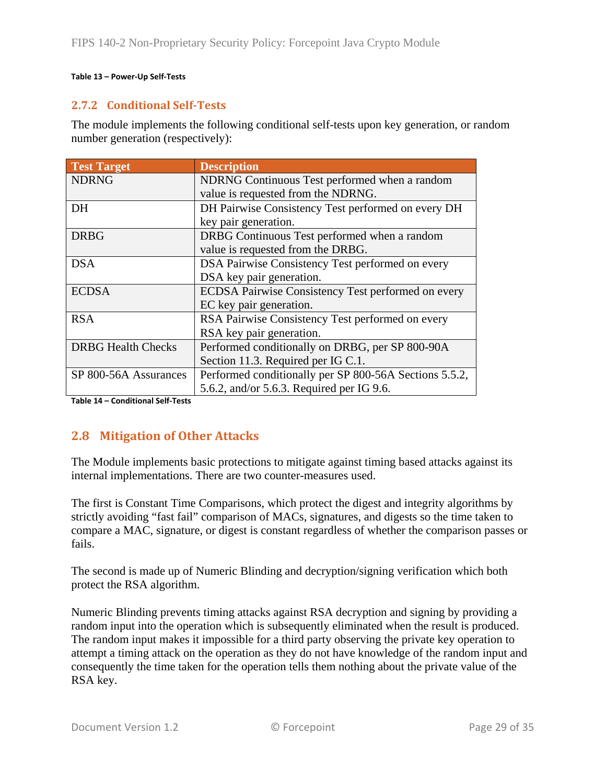#### <span id="page-28-2"></span><span id="page-28-0"></span>**Table 13 – Power-Up Self-Tests**

#### **2.7.2 Conditional Self-Tests**

The module implements the following conditional self-tests upon key generation, or random number generation (respectively):

| <b>Test Target</b>        | <b>Description</b>                                     |
|---------------------------|--------------------------------------------------------|
| <b>NDRNG</b>              | NDRNG Continuous Test performed when a random          |
|                           | value is requested from the NDRNG.                     |
| DH                        | DH Pairwise Consistency Test performed on every DH     |
|                           | key pair generation.                                   |
| <b>DRBG</b>               | DRBG Continuous Test performed when a random           |
|                           | value is requested from the DRBG.                      |
| <b>DSA</b>                | DSA Pairwise Consistency Test performed on every       |
|                           | DSA key pair generation.                               |
| <b>ECDSA</b>              | ECDSA Pairwise Consistency Test performed on every     |
|                           | EC key pair generation.                                |
| <b>RSA</b>                | RSA Pairwise Consistency Test performed on every       |
|                           | RSA key pair generation.                               |
| <b>DRBG Health Checks</b> | Performed conditionally on DRBG, per SP 800-90A        |
|                           | Section 11.3. Required per IG C.1.                     |
| SP 800-56A Assurances     | Performed conditionally per SP 800-56A Sections 5.5.2, |
|                           | 5.6.2, and/or 5.6.3. Required per IG 9.6.              |

<span id="page-28-1"></span>**Table 14 – Conditional Self-Tests**

### **2.8 Mitigation of Other Attacks**

The Module implements basic protections to mitigate against timing based attacks against its internal implementations. There are two counter-measures used.

The first is Constant Time Comparisons, which protect the digest and integrity algorithms by strictly avoiding "fast fail" comparison of MACs, signatures, and digests so the time taken to compare a MAC, signature, or digest is constant regardless of whether the comparison passes or fails.

The second is made up of Numeric Blinding and decryption/signing verification which both protect the RSA algorithm.

Numeric Blinding prevents timing attacks against RSA decryption and signing by providing a random input into the operation which is subsequently eliminated when the result is produced. The random input makes it impossible for a third party observing the private key operation to attempt a timing attack on the operation as they do not have knowledge of the random input and consequently the time taken for the operation tells them nothing about the private value of the RSA key.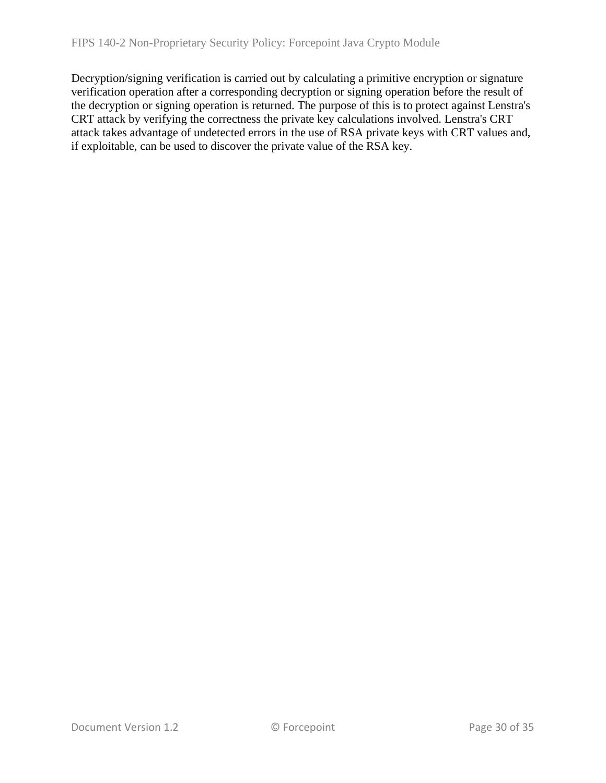Decryption/signing verification is carried out by calculating a primitive encryption or signature verification operation after a corresponding decryption or signing operation before the result of the decryption or signing operation is returned. The purpose of this is to protect against Lenstra's CRT attack by verifying the correctness the private key calculations involved. Lenstra's CRT attack takes advantage of undetected errors in the use of RSA private keys with CRT values and, if exploitable, can be used to discover the private value of the RSA key.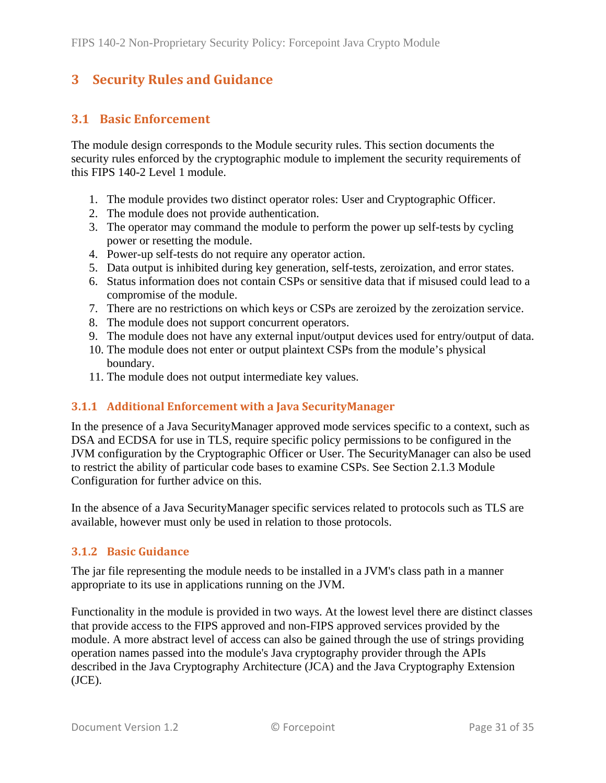## <span id="page-30-0"></span>**3 Security Rules and Guidance**

## <span id="page-30-1"></span>**3.1 Basic Enforcement**

The module design corresponds to the Module security rules. This section documents the security rules enforced by the cryptographic module to implement the security requirements of this FIPS 140-2 Level 1 module.

- 1. The module provides two distinct operator roles: User and Cryptographic Officer.
- 2. The module does not provide authentication.
- 3. The operator may command the module to perform the power up self-tests by cycling power or resetting the module.
- 4. Power-up self-tests do not require any operator action.
- 5. Data output is inhibited during key generation, self-tests, zeroization, and error states.
- 6. Status information does not contain CSPs or sensitive data that if misused could lead to a compromise of the module.
- 7. There are no restrictions on which keys or CSPs are zeroized by the zeroization service.
- 8. The module does not support concurrent operators.
- 9. The module does not have any external input/output devices used for entry/output of data.
- <span id="page-30-4"></span>10. The module does not enter or output plaintext CSPs from the module's physical boundary.
- 11. The module does not output intermediate key values.

#### <span id="page-30-2"></span>**3.1.1 Additional Enforcement with a Java SecurityManager**

In the presence of a Java SecurityManager approved mode services specific to a context, such as DSA and ECDSA for use in TLS, require specific policy permissions to be configured in the JVM configuration by the Cryptographic Officer or User. The SecurityManager can also be used to restrict the ability of particular code bases to examine CSPs. See Section [2.1.3](#page-6-0) Module Configuration for further advice on this.

In the absence of a Java SecurityManager specific services related to protocols such as TLS are available, however must only be used in relation to those protocols.

#### <span id="page-30-3"></span>**3.1.2 Basic Guidance**

The jar file representing the module needs to be installed in a JVM's class path in a manner appropriate to its use in applications running on the JVM.

Functionality in the module is provided in two ways. At the lowest level there are distinct classes that provide access to the FIPS approved and non-FIPS approved services provided by the module. A more abstract level of access can also be gained through the use of strings providing operation names passed into the module's Java cryptography provider through the APIs described in the Java Cryptography Architecture (JCA) and the Java Cryptography Extension (JCE).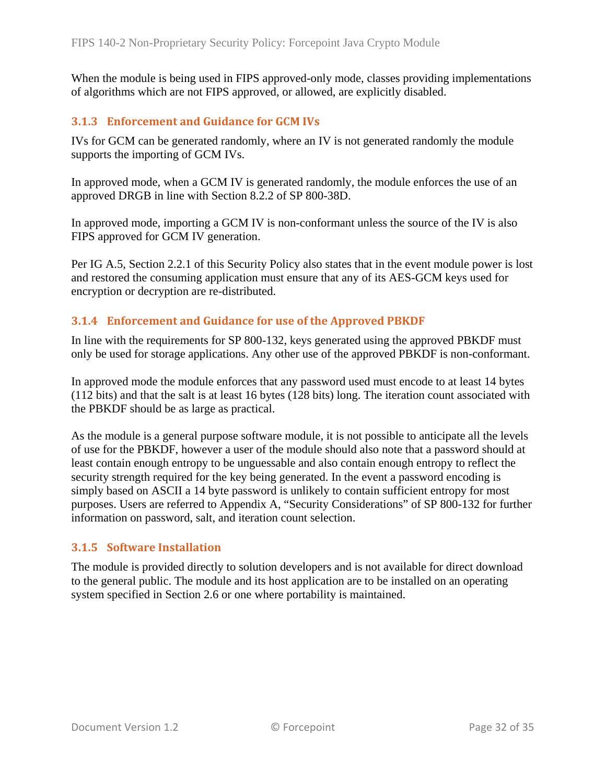When the module is being used in FIPS approved-only mode, classes providing implementations of algorithms which are not FIPS approved, or allowed, are explicitly disabled.

#### <span id="page-31-0"></span>**3.1.3 Enforcement and Guidance for GCM IVs**

IVs for GCM can be generated randomly, where an IV is not generated randomly the module supports the importing of GCM IVs.

In approved mode, when a GCM IV is generated randomly, the module enforces the use of an approved DRGB in line with Section 8.2.2 of SP 800-38D.

In approved mode, importing a GCM IV is non-conformant unless the source of the IV is also FIPS approved for GCM IV generation.

Per IG A.5, Section [2.2.1](#page-16-1) of this Security Policy also states that in the event module power is lost and restored the consuming application must ensure that any of its AES-GCM keys used for encryption or decryption are re-distributed.

#### <span id="page-31-1"></span>**3.1.4 Enforcement and Guidance for use of the Approved PBKDF**

In line with the requirements for SP 800-132, keys generated using the approved PBKDF must only be used for storage applications. Any other use of the approved PBKDF is non-conformant.

In approved mode the module enforces that any password used must encode to at least 14 bytes (112 bits) and that the salt is at least 16 bytes (128 bits) long. The iteration count associated with the PBKDF should be as large as practical.

As the module is a general purpose software module, it is not possible to anticipate all the levels of use for the PBKDF, however a user of the module should also note that a password should at least contain enough entropy to be unguessable and also contain enough entropy to reflect the security strength required for the key being generated. In the event a password encoding is simply based on ASCII a 14 byte password is unlikely to contain sufficient entropy for most purposes. Users are referred to Appendix A, "Security Considerations" of SP 800-132 for further information on password, salt, and iteration count selection.

#### <span id="page-31-2"></span>**3.1.5 Software Installation**

The module is provided directly to solution developers and is not available for direct download to the general public. The module and its host application are to be installed on an operating system specified in Section [2.6](#page-25-1) or one where portability is maintained.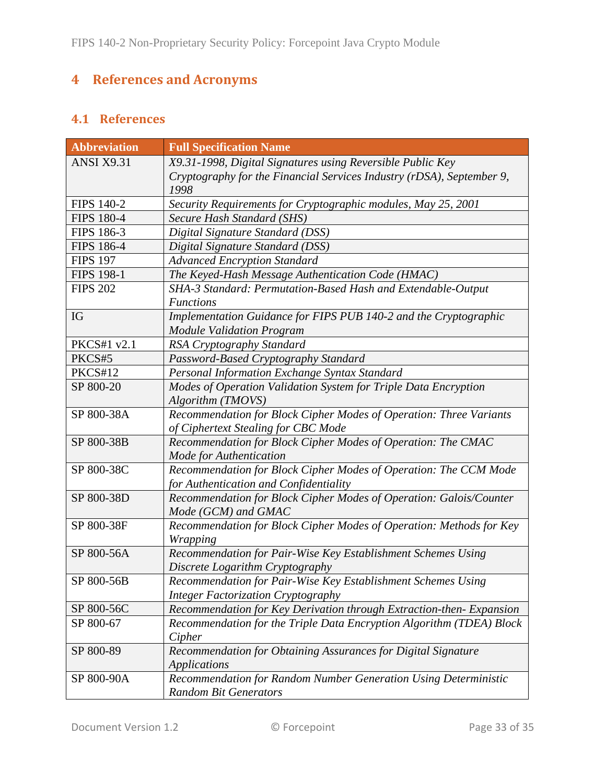# <span id="page-32-0"></span>**4 References and Acronyms**

## <span id="page-32-1"></span>**4.1 References**

| <b>Abbreviation</b> | <b>Full Specification Name</b>                                        |
|---------------------|-----------------------------------------------------------------------|
| <b>ANSI X9.31</b>   | X9.31-1998, Digital Signatures using Reversible Public Key            |
|                     | Cryptography for the Financial Services Industry (rDSA), September 9, |
|                     | 1998                                                                  |
| <b>FIPS 140-2</b>   | Security Requirements for Cryptographic modules, May 25, 2001         |
| <b>FIPS 180-4</b>   | Secure Hash Standard (SHS)                                            |
| FIPS 186-3          | Digital Signature Standard (DSS)                                      |
| <b>FIPS 186-4</b>   | Digital Signature Standard (DSS)                                      |
| <b>FIPS 197</b>     | <b>Advanced Encryption Standard</b>                                   |
| <b>FIPS 198-1</b>   | The Keyed-Hash Message Authentication Code (HMAC)                     |
| <b>FIPS 202</b>     | SHA-3 Standard: Permutation-Based Hash and Extendable-Output          |
|                     | <b>Functions</b>                                                      |
| IG                  | Implementation Guidance for FIPS PUB 140-2 and the Cryptographic      |
|                     | <b>Module Validation Program</b>                                      |
| PKCS#1 v2.1         | RSA Cryptography Standard                                             |
| PKCS#5              | Password-Based Cryptography Standard                                  |
| PKCS#12             | Personal Information Exchange Syntax Standard                         |
| SP 800-20           | Modes of Operation Validation System for Triple Data Encryption       |
|                     | Algorithm (TMOVS)                                                     |
| SP 800-38A          | Recommendation for Block Cipher Modes of Operation: Three Variants    |
|                     | of Ciphertext Stealing for CBC Mode                                   |
| SP 800-38B          | Recommendation for Block Cipher Modes of Operation: The CMAC          |
|                     | Mode for Authentication                                               |
| SP 800-38C          | Recommendation for Block Cipher Modes of Operation: The CCM Mode      |
|                     | for Authentication and Confidentiality                                |
| SP 800-38D          | Recommendation for Block Cipher Modes of Operation: Galois/Counter    |
|                     | Mode (GCM) and GMAC                                                   |
| SP 800-38F          | Recommendation for Block Cipher Modes of Operation: Methods for Key   |
|                     | <b>Wrapping</b>                                                       |
| SP 800-56A          | Recommendation for Pair-Wise Key Establishment Schemes Using          |
|                     | Discrete Logarithm Cryptography                                       |
| SP 800-56B          | Recommendation for Pair-Wise Key Establishment Schemes Using          |
|                     | <b>Integer Factorization Cryptography</b>                             |
| SP 800-56C          | Recommendation for Key Derivation through Extraction-then-Expansion   |
| SP 800-67           | Recommendation for the Triple Data Encryption Algorithm (TDEA) Block  |
|                     | Cipher                                                                |
| SP 800-89           | Recommendation for Obtaining Assurances for Digital Signature         |
|                     | Applications                                                          |
| SP 800-90A          | Recommendation for Random Number Generation Using Deterministic       |
|                     | <b>Random Bit Generators</b>                                          |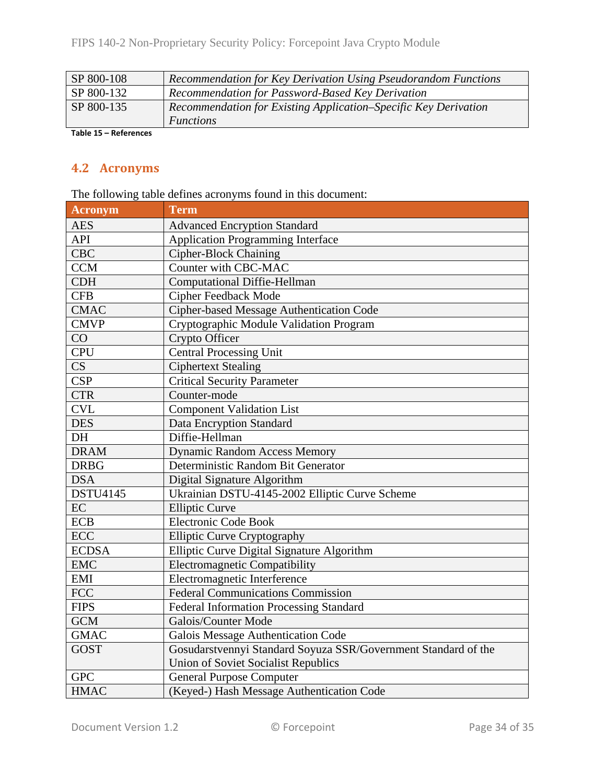| SP 800-108 | Recommendation for Key Derivation Using Pseudorandom Functions  |
|------------|-----------------------------------------------------------------|
| SP 800-132 | Recommendation for Password-Based Key Derivation                |
| SP 800-135 | Recommendation for Existing Application–Specific Key Derivation |
|            | <i>Functions</i>                                                |

<span id="page-33-0"></span>**Table 15 – References**

## **4.2 Acronyms**

The following table defines acronyms found in this document:

| <b>Acronym</b>  | <b>Term</b>                                                    |  |  |
|-----------------|----------------------------------------------------------------|--|--|
| <b>AES</b>      | <b>Advanced Encryption Standard</b>                            |  |  |
| API             | <b>Application Programming Interface</b>                       |  |  |
| <b>CBC</b>      | <b>Cipher-Block Chaining</b>                                   |  |  |
| <b>CCM</b>      | Counter with CBC-MAC                                           |  |  |
| <b>CDH</b>      | <b>Computational Diffie-Hellman</b>                            |  |  |
| <b>CFB</b>      | <b>Cipher Feedback Mode</b>                                    |  |  |
| <b>CMAC</b>     | Cipher-based Message Authentication Code                       |  |  |
| <b>CMVP</b>     | Cryptographic Module Validation Program                        |  |  |
| CO              | Crypto Officer                                                 |  |  |
| <b>CPU</b>      | <b>Central Processing Unit</b>                                 |  |  |
| CS              | <b>Ciphertext Stealing</b>                                     |  |  |
| <b>CSP</b>      | <b>Critical Security Parameter</b>                             |  |  |
| <b>CTR</b>      | Counter-mode                                                   |  |  |
| <b>CVL</b>      | <b>Component Validation List</b>                               |  |  |
| <b>DES</b>      | Data Encryption Standard                                       |  |  |
| DH              | Diffie-Hellman                                                 |  |  |
| <b>DRAM</b>     | <b>Dynamic Random Access Memory</b>                            |  |  |
| <b>DRBG</b>     | Deterministic Random Bit Generator                             |  |  |
| <b>DSA</b>      | Digital Signature Algorithm                                    |  |  |
| <b>DSTU4145</b> | Ukrainian DSTU-4145-2002 Elliptic Curve Scheme                 |  |  |
| EC              | <b>Elliptic Curve</b>                                          |  |  |
| <b>ECB</b>      | <b>Electronic Code Book</b>                                    |  |  |
| <b>ECC</b>      | <b>Elliptic Curve Cryptography</b>                             |  |  |
| <b>ECDSA</b>    | Elliptic Curve Digital Signature Algorithm                     |  |  |
| <b>EMC</b>      | <b>Electromagnetic Compatibility</b>                           |  |  |
| EMI             | Electromagnetic Interference                                   |  |  |
| <b>FCC</b>      | <b>Federal Communications Commission</b>                       |  |  |
| <b>FIPS</b>     | <b>Federal Information Processing Standard</b>                 |  |  |
| <b>GCM</b>      | Galois/Counter Mode                                            |  |  |
| <b>GMAC</b>     | <b>Galois Message Authentication Code</b>                      |  |  |
| <b>GOST</b>     | Gosudarstvennyi Standard Soyuza SSR/Government Standard of the |  |  |
|                 | <b>Union of Soviet Socialist Republics</b>                     |  |  |
| <b>GPC</b>      | <b>General Purpose Computer</b>                                |  |  |
| <b>HMAC</b>     | (Keyed-) Hash Message Authentication Code                      |  |  |